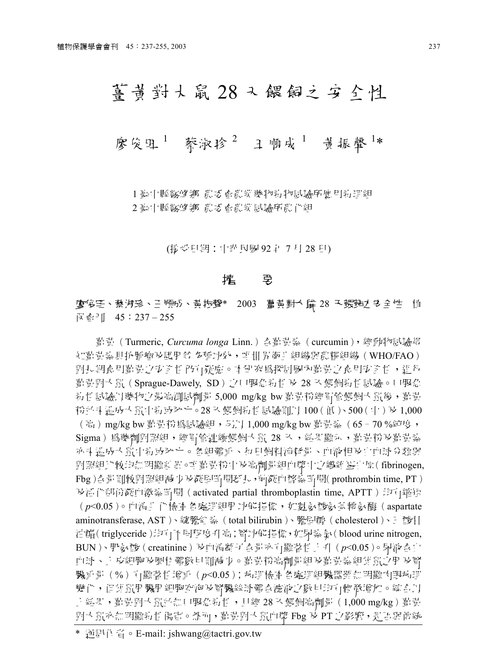# 菁普對大鼠 28 又 餵飼之 安 全性

## 廖俊田<sup>1</sup> 蔡淑珍<sup>2</sup> 王順成<sup>1</sup> 黃振聲<sup>1</sup>\*

1 ङ:「縣霧峰 鄉 農 ぶ 賣農業 變物素」物試驗所 魔月素 理組 2 脚中縣 2 脚叶麻<br>2 脚叶 医心包 医心包 医心包 化对称

(接受日期: 中弹民國 92 年 7 月 28 日)

#### 篕 璶

### 郭玊 睶 独 羘\* 2003 独癸 28 ぱ笼箎 ┦ 从 保 會刊 45:237-255

- 菖青 ( Turmeric, *Curcuma longa* Linn.) 吾菖青素 ( curcumin), 經動物試驗得 知氰黃素貝抗腫瘤及護用省 多種功效,唯世界衛生組織與農糧組織 (WHO/FAO) 對長期食用暫貴之安全性仍有疑慮。 本研究為探討國內許貴之食用安全性,進行 勤貴對大鼠 ( Sprague-Dawely, SD ) 之口服急對性 及 28 天餵飼對性試驗。口服急 素|性試驗円變物之最高測試劑量 5,000 mg/kg bw 氰貴粉經胃管餵飼'大鼠後,晢貴 粉並未遇成大鼠中特域死亡。28 天餵飼特性試驗即円 100(低)、500(中) 及 1,000 (高)mg/kg bw 鄯責粉 爲試驗組,5廿1,000 mg/kg bw 鄯責素(65‐70 %純度, Sigma)為變劑對照組,經冒管連續餵飼大鼠 28 入,結果顯示,勸貴粉及勸責素 亦斗造成大鼠中特前次と。各組體重、每日飼料消耗量、血液相及自血球分類與 對照組比較均無明顯新報。唯看責粉中及高劑量組血漿中之纖維蛋白原( fibrinogen, Fbg)合量則較對照組減 り及凝固時間延長,前凝血酵素時間(prothrombin time, PT) 及活化部份凝血激素畸間 (activated partial thromboplastin time, APTT) 均有縮矩 (p<0.05)。血涓爿 化檢查 各處理組用 功能指標, 如 数 数 發 数 基 轉 数 酶 (aspartate aminotransferase, AST)、總膽組 蒅 (total bilirubin)、膽間醇 (cholesterol)、三 酸甘 油酯(triglyceride)均有不同程度升高;腎功能指標,如尿素氮(blood urine nitrogen, BUN)、肌氨酸(creatinine) 及面清翻了吾暈亦有顯著性十升 (p<0.05)。尿液吾白 血球丶上 应細胞 及圓柱 體數目則減 少。 勤貴粉高劑量組 及勤勤素 組織員 以下 及腎 臓重量 (%) 有顯著性增重 (p<0.05); 病理橈音各處理組臟器難無明顯肉眼病理 變化,但雄鼠肝臟肝細胞空泡及腎臟絲球體含濾液之數目均有輕微增加。綜合以 上 結果,葺黄對大鼠並無口服急對性,且經 28 天餵飼高劑量(1,000 mg/kg)葺責 對大鼠亦無明顯時性傷害。然而,勸責對大鼠血漿 Fbg 及 PT 之影響,是否與曹統

<sup>\*</sup> 通訊作習。E-mail: jshwang@tactri.gov.tw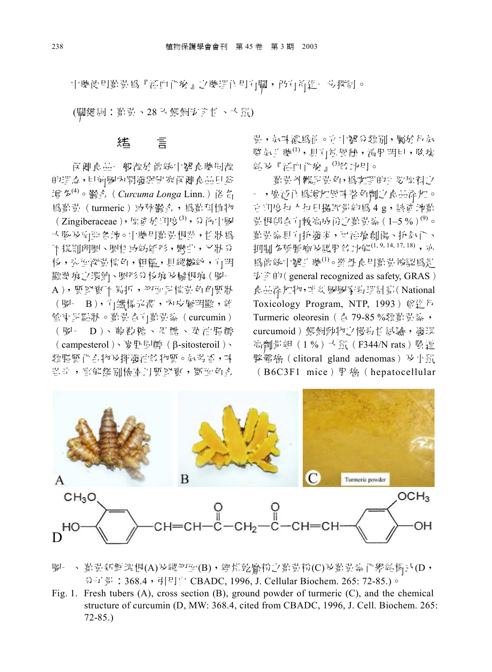中樂使用勤貴為『活血化瘀』之樂理作用百關,仍有高進。步探討。

(關鍵詞: 葛貴、28 天餵飼安全性、天鼠)

#### 言 狐

保健食品 般源於傳統中醫食藥同源 的理念,目前國內開發與研究保健食品日益 增多<sup>(4)</sup>。鬱 A. (Curcuma Longa Linn.) 俗 名 為對對 (turmeric) 或秋鬱系, 為對科植物 (Zingiberaceae),原资於印度 $^{(3)}$ , 分佈中國 大陸 历南中各地。中藥月當昔根莖, 性狀爲 不規則卵圓、圓柱 或紡細形, 彎曲, 立狀 分 杉, 头面深背棕色, 粗糙, 月縱皺約, 打明 顯葉痕:7環節、圓形分枝痕 及鬚根痕(圖-A), 質堅暫不 易折, 切面早棕黄色角質狀 (圖- B), 百蠟樣光澤, 內皮層明顯, 額 管束早點狀。勸貴吾有勸貴素 (curcumin) (圖- D)、葡萄糖、果醣、菜油脂醇 (campesterol)、麥卧區酵 (β-sitosteroil)、 類脂質化 合物及揮發油的物質。氧芳香,味 習許, 官能鑑別檢查丹質堅實, 斷面色孔

貴, 氣味濃為自。由中醫分類別, 屬於行氣  $[$  脐 氧 耳 藥(1), 身 十 有 困 敖, , 清 用 明 曰 , 除 瘀 絽 『活血化瘀』<sup>(3)</sup> 行功用。

着貴外觀是貴色, 為咖哩的主要原料之 - , 臨沂作 為增加風味 蓄 色劑 之意品添加。 市 门的东门 右 [ F] 攝 扣 量 約 爲 4 g, 該 诸 拍 首 独 耕 独1–5 %(9) 葡萄蒸具直抗酸炎,可治療創傷、抗氧化、 ы贺竳紽の臔▁ (1, 9, 14, 17, 18)ョ 為傷統中醫生藥(1)。雖然食用勸貴被認爲是  $\frac{1}{2}$ ,  $\frac{1}{2}$   $\frac{1}{2}$   $\frac{1}{2}$   $\frac{1}{2}$   $\frac{1}{2}$   $\frac{1}{2}$   $\frac{1}{2}$   $\frac{1}{2}$   $\frac{1}{2}$   $\frac{1}{2}$   $\frac{1}{2}$   $\frac{1}{2}$   $\frac{1}{2}$   $\frac{1}{2}$   $\frac{1}{2}$   $\frac{1}{2}$   $\frac{1}{2}$   $\frac{1}{2}$   $\frac{1}{2}$   $\frac{1}{2}$   $\frac{1}{2}$  食品添加物, 咱 封 國國家墨, 理計 計(National Toxicology Program, NTP, 1993) 曾進行 Turmeric oleoresin ( 含 79-85 %類勸 散 , curcumoid) 餵飼動物之慢黏性試驗, 發現 高劑量組 (1%) 大鼠 (F344/N rats) 陰道 腺體癌 (clitoral gland adenomas) 及小鼠  $(B6C3F1$  mice  $)$   $\mathbb{H}$   $\mathbb{H}$  (hepatocellular



- 圖一、 勸責新館塊根(A)及縱切面(B),經惧乾磨粉之勤責粉(C)及勤責素 化學結構式(D, 分子 景: 368.4, 引用目 DBADC, 1996, J. Cellular Biochem. 265: 72-85.)。
- Fig. 1. Fresh tubers (A), cross section  $(B)$ , ground powder of turmeric  $(C)$ , and the chemical structure of curcumin (D, MW: 368.4, cited from CBADC, 1996, J. Cell. Biochem. 265: 72-85.)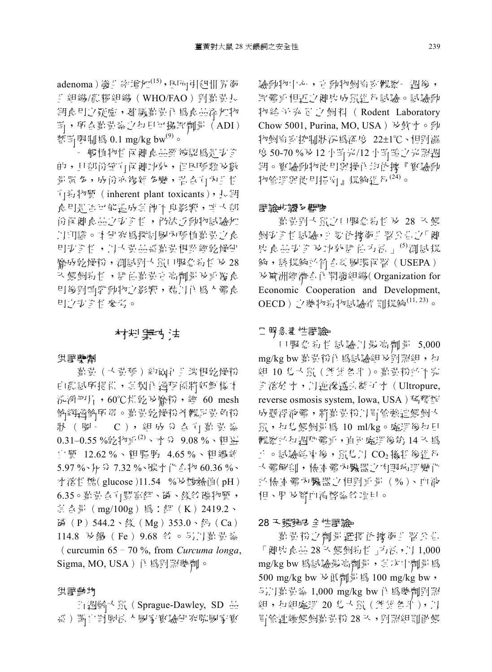adenoma) 發生率增加<sup>(15)</sup>, 因而引起世界衛 # 組織/農糧組織 (WHO/FAO) 對看責長 期食用之好慮, 刻識勸責作爲食品添加物 臣,所含菖青素之和日可攝取劑量(ADI) 暫卧限制為 0.1 mg/kg bw $^{(9)}$ 。

- 般植物性原菌食品雕被認爲是安全 的,目部份確直保健功效, 但因種類及數 量眾 多, 成份亦複雜 多變, 望台自內耳性 直結物質 (inherent plant toxicants), 長期 食用是舌可能温成其 的不良影響, 唯大部 份保健 食品:7岁至性, 仍缺:5動物試驗加 ♪11门諮 ○ 14 研究 為探討 國内種 植 勤 貴 。 少 食 目5% 个性, 中国 昔品系着昔根茨經乾慢研 磨成乾燥粉,測試對大鼠口服急對性及28 认 餵飼素 性, 評 估 勸 昔 清 葡 情 时 计 配 食 用後對哺乳動物之影響, 藉以作為人體食 用心切至性 參考。

### 籔よ猭

#### 供課藥劑

菖 責 ( ) 責種) 約兩年非塊根乾燥粉 由農試所提供, 其製作過程係將新館樣本 泓凈切片, 60℃阻乾及磨粉, 纃 60 mesh 鈴網過鈴所得。聾貴乾燥粉外觀早貴色粉 狀 (圖· C), 組成 分 合 訂 勸 責 素  $0.31 - 0.55$ %乾牞 [10]、水 分 9.08 %、粗蛋 自管 12.62%、粗脂肪 4.65%、粗纖維 5.97 %、灰分 7.32 %、碳水 化合物 60.36 %、 水溶性醣(glucose)11.54 %及酸鹼值(pH)  $6.35 \circ$  當貴 合有 豐富鉀、磷、鎂等 礦物質, 其 合量 (mg/100g) 為: 鉀 (K) 2419.2、 **磷**(P)544.2、鎂(Mg)353.0、鈉(Ca) 114.8 及鐵 (Fe) 9.68 貧 。 另以直 責 紮  $\frac{c}{c}$  curcumin 65 - 70 %, from *Curcuma longa*, Sigma, MO, USA) 作為對照樂劑。

#### 供證動物

山 遇齡 人 鼠 ( Sprague-Dawley, SD 品 系)購自財團法大國家實物 驗動物中心, 青動物飼育室觀察一遇後, 取體重相近之健康成績進行試驗。試驗動 物給予充足之飼料 (Rodent Laboratory Chow 5001, Purina, MO, USA) 及飲水。動 物飼育 寄 控制狀 沉 為溫 度 22±1℃、相對 濕 度 50-70 % b 12 小時 光/12 小時 暗 之 光 照 调 拥。暂驗動物使用圍操作均依據『暂驗動 物管理與使用指南』規範進行<sup>(24)</sup>。

#### またり様ない

着温對す鼠ウ口服急黏性及 28 天餵 飼防不性試驗,并要依據衛生署公告。方「健 康 食品安全 及功效評 估方法 」<sup>(5)</sup>測試規 鈴, 該規鈴並符吾該國環保署(USEPA) の稼瑆竒蕾秨祇舱 Organization for Economic Cooperation and Development, OECD) 之樂物對物試驗準則規範(11, 23)。

#### 口服系基性課験

口服急莉性試驗以最高劑量 5,000 mg/kg bw i 貴粉作爲試驗組及對照組, 有 舱 10 慧 独 全溶於水,只逆滲透去離了水(Ultropure, reverse osmosis system, Iowa, USA)稀釋配 成懸浮液體, 將勸貴粉以胃管強迫餵飼人  $f$  50 10 ml/kg。處理後有日 觀察並和週种體重, 直至處理後第14 天為  $\text{I}$  。試驗結束後, 鼠隻丹  $\text{CO}_2$  犧牲後進行 大體解剖, 榛查體內臟器之固眼病理變化 並檢查體內臟器之相對重量(%)、血液 相、用及腎血清酵素貧項目。

#### 28 天態神子 全性課験

首貴粉之劑量選擇依據衛生署公告 「圍康食品28 天餵飼精性」方法, 广 1,000 mg/kg bw 為試驗最高劑量, 其次中劑量為 500 mg/kg bw 及低劑量為 100 mg/kg bw, 5J) [直責素 1,000 mg/kg bw 作 為樂劑對照 舱–舱矪瞶 20 慧 胃管連續餵飼葺貴粉 28 认, 對照組則圍餵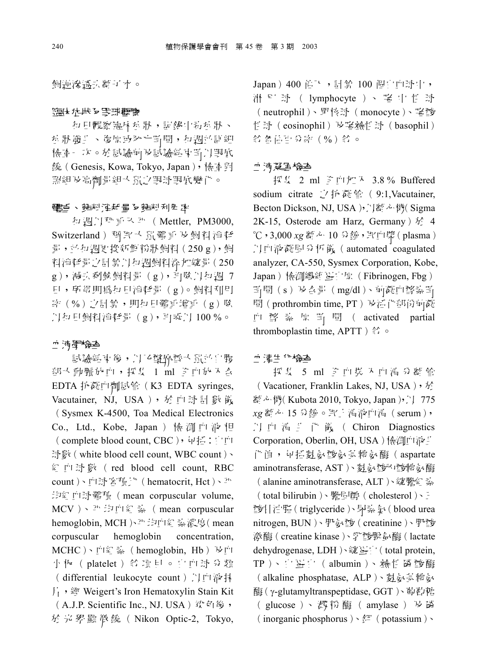飼通家诱引翻了水。

#### 臨床症狀及取球観察

村目觀察臨床症狀,記錄中莉症狀、 岳 狀 發生 、 復原 或 死 亡 時 間 , 有 遇 而 詳 細 梅查 次。於試驗前及試驗結束畸以眼底 鏡 (Genesis, Kowa, Tokyo, Japan), 檢音對 照組及高劑量組入鼠之眼球眼底變化。

#### 聘重、歸料消耗量及歸料利用率

有週円秤重入平 (Mettler, PM3000, Switzerland) 稱 取 人 鼠 體 重 及 飼 料 消 耗  $\frac{1}{2}$ , 而和 週更 按 新 斛 粉 狀 飼 料 (250 g), 飼 料消耗量之計算几每週飼料添加總量(250  $g$ ), 减引剩餘飼料量 (g), 再除几句週 7 日, 所谓即為钉日消耗量(g)。 飼料利用 率(%) 心計算, 即每日體重增重(g) 除 上村目飼料消耗量(g), 再乘户 100%。

#### Ⅱ 液學検査

試驗結束後, 以乙醚麻醉大鼠並自腹 部大動脈放血, 採集 1 ml 圣血放入合 EDTA 抗凝血劑試管 (K3 EDTA syringes, Vacutainer, NJ, USA), 於 血 球 計 數 儀 (Sysmex K-4500, Toa Medical Electronics Co., Ltd., Kobe, Japan) 檢測血液相 (complete blood count, CBC), 包括: 白血 球數 (white blood cell count, WBC count)、 ﹀瞴 计 red blood cell count, RBC count )、血球密積比 (hematocrit, Hct)、平 均組血球體積 (mean corpuscular volume, MCV ﹀mean corpuscular hemoglobin, MCH  $\rangle \Psi$  均血組 素濃度(mean corpuscular hemoglobin concentration, MCHC)、血紅桑 (hemoglobin, Hb) 及血 小板(platelet) 字項目。自血球分類 ( differential leukocyte count ) 以血液抹 片, 籀 Weigert's Iron Hematoxylin Stain Kit (A.J.P. Scientific Inc., NJ. USA) 染色後, 厩 陪 稬 描 Nikon Optic-2, Tokyo, Japan) 400 倍下, 計算 100 個白血球中, 淋 P! 球 ( lymphocyte ) 、 囓 中 性 球 (neutrophil)、單核球(monocyte)、嗜酸 悟球 (eosinophil) 及嗜鹼性球 (basophil) **貧 各估百分率(%) 貧。** 

#### 血液凝固检查

採 ! 2 ml 予 ml 加 入 3.8 % Buffered sodium citrate  $\sqrt{7}$  抗 凝 管 (9:1, Vacutainer, Becton Dickson, NJ, USA ), 门翻心機(Sigma 2K-15, Osterode am Harz, Germany  $\frac{1}{2}$  4 3,000 *xg* 瞒み 10 だ牧﹀歼plasma ♪ I 面液凝固分析儀 (automated coagulated analyzer, CA-550, Sysmex Corporation, Kobe, Japan) 檢測纖維 蛋白原(Fibrinogen, Fbg)  $E$  問 (s) 及合量 (mg/dl)、前凝血酵素的 間(prothrombin time, PT) 及活化部份前凝 ﹀ 幻 activated partial thromboplastin time, APTT )  $\frac{4}{3}$ 

#### Ⅱ 清生化<del>檢查</del>

探集 5 ml 全血裝 人血清 分離管 (Vacationer, Franklin Lakes, NJ, USA), 於 翻心機(Kubota 2010, Tokyo, Japan), f) 775 *xg* 瞒み 15 だ牧睲睪﹀睲serum **♪** 血 清 卦 化 儀 ( Chiron Diagnostics Corporation, Oberlin, OH, USA)檢測血液 化值, 包括麩氨酸氨基轉氨酶(aspartate aminotransferase, AST )、 数氨酸内酸轉氨酶 (alanine aminotransferase, ALT)、總膽約 蒅 (total bilirubin)、膽卧, (cholesterol)、 酸甘油脂(triglyceride)、尿素 &(blood urea nitrogen, BUN)、肌氨酸(creatinine)、肌酸 激酶(creatine kinase)、乳酸脱氧酶(lactate dehydrogenase, LDH )、總計[/] (total protein, TP)、自蛋 ['| ( albumin )、 鹼 性 磷 酸 酶 (alkaline phosphatase, ALP)、 数氨基轉氨 酶 ( γ-glutamyltranspeptidase, GGT ) · 葡萄糖 (glucose)、 戳 粉 酶 (amylase) 及 磷  $($  inorganic phosphorus  $) \cdot \frac{4\pi}{3}$  (potassium )  $\cdot$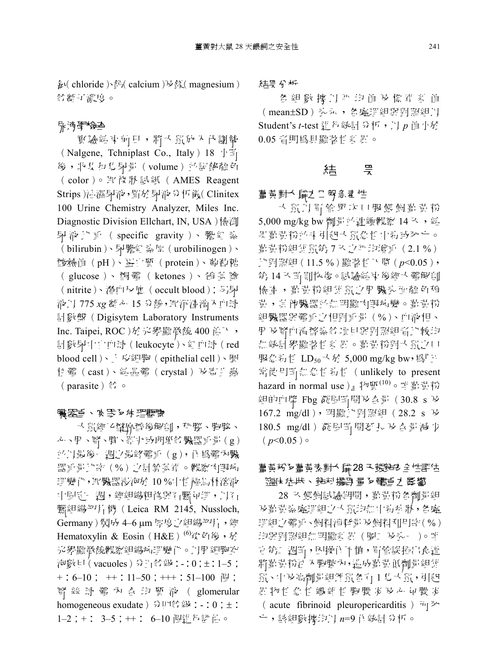$\frac{1}{2}$  (chloride ) 金 (calcium )  $\forall$  斜 (magnesium ) 给翻可濃的。

#### 脉液學特色

寳驗結束前日, 將大鼠放入代謝籠 (Nalgene, Tchniplast Co., Italy)  $18 \text{ m/s}$ 後, 收集和馬尿量(volume) 並記錄顏色 (color)。 取條 狀 試 紙 ( AMES Reagent Strips ) 法濕尿液, 智於尿液分析亂(Clinitex 100 Urine Chemistry Analyzer, Miles Inc. Diagnostic Division Ellchart, IN, USA)檢測 尿液比重 (specific gravity)、膽紅熱 (bilirubin)、尿膽紅素原(urobilinogen)、 酸鹼值(pH)、蛋白質(protein)、葡萄糖 (glucose)、酮體(ketones)、硝 基 艪 (nitrite)、潛血反應 (occult blood); 另尿 睪 775 *xg* 瞒み 15 だ牧↖错簑﹀瞴 璸计絃Digisytem Laboratory Instruments Inc. Taipei, ROC)於光學顯微鏡 400 倍下, 計數尿中自血球(leukocyte)、組血球(red blood cell)、上皮細胞 (epithelial cell)、圓 扫體 (cast)、 結晶體 (crystal) 及寄生蟲 (parasite) 名。

#### 臟器重、必取る症理觀察

入鼠經乙醚麻醉後解剖,种腦、胸腺、 心、用、腎、脾、胃、丸卵卵等臟器重量(g) 並以最後一 遇之最終體重 (g), 作 為體內臟 器重量比率(%)之計算基準。 觀察內眼病 理變化, 取臟器浸泡於 10 % 中性福息林溶液 中固臣‐ 週,經組織粗修與石臘句理,自7」 臘組織切片機 (Leica RM 2145, Nussloch, Germany)製成 4–6 µm 厚度之組織切片, 經 Hematoxylin & Eosin (H&E)<sup>(6)</sup> $\psi$ <sup>t</sup> $\psi$ <sup>6</sup>  $\hat{\psi}$ ,  $\hat{\psi}$ 光學顯微鏡觀察組織病理變化。几用細胞空 润數目(vacuoles) 分計: 给級: -: 0;±: 1-5;  $+: 6-10;$   $+: 11-50;$   $++: 51-100 \text{ [m]};$ 腎 絲 球 體 內 合 均 質 液 ( glomerular homogeneous exudate ) 分 四等 級: - : 0 ;  $\pm$  : 1–2; +: 3–5; ++: 6–10 個進行評估。

#### 結果分析

各 組 數 據 以 斗 均 值 及 標 準 烹 值 (mean±SD) 头示, 各處理組與對照組以 Student's *t*-test 追行統計 分析, p 值小於 0.05 ㄣ陪帝┦畉

### 結 の 乗

#### 활 畵 對 大 二 立 기 田 魚 君 性

大鼠以胃管罪次口服餵飼誓 计粉 5,000 mg/kg bw 劑量而連續觀察 14 认, 結 即暂韻粉而未引起大鼠愈性中對或死亡。 葡萄粉組雄鼠第7 头边外均增重 (2.1%) 比對照組(11.5%)顯著性下 F (p<0.05), 第14 认問則恢復。記驗結束後經大體解剖 梅香, 首貴粉組雄鼠之用臟头面顏色稍 貴,其他臟器並無明顯因眼病變。勸貴粉 組臟器與體重之相對重量 (%)、血液相、 用及腎血清酵素等項目與對照組習比較均 無統計學顯著性意 聖 章貴粉對大鼠之口 服急對性 LD<sub>50</sub> 人於 5,000 mg/kg bw, 為『jl 常使用畸無怠性药性 (unlikely to present hazard in normal use )』 物質 $(10)$ 。 唎 勤 貴 粉 組的血漿 Fbg 凝固固間及合量 (30.8 s  $\rm{K}$ 167.2 mg/dl), 明顯比對照組 (28.2 s 及 180.5 mg/dl ) 凝固畸間延長 及合量減少  $(p<0.05)$ 

### 薑黃粉を薑黃素對大 肆28 天餓時多 全性評估 臨床症狀、歸料攝取量を體重え影響

28 入餵飼試驗期間, 舊貴粉各劑量組 及勤責素處理組立 人員均無中對症狀,各處 理組之體重、飼料消耗量及飼料利用率(%) 均與對照組無明顯新界(圖二及头-)。唯 青第二週間, 因操作不慎, 胃管誤插出食道 將舊黃粉泊 人胸腔內, 造成舊責 低劑量組雄 鼠、中及高劑量組雌鼠各有1 以大鼠, 引起 界物性急性纖維性胸膜炎及心 包膜炎 (acute fibrinoid pleuropericarditis)  $\hat{H}$ 亡, 該組數據均以 n=9 作統計分析。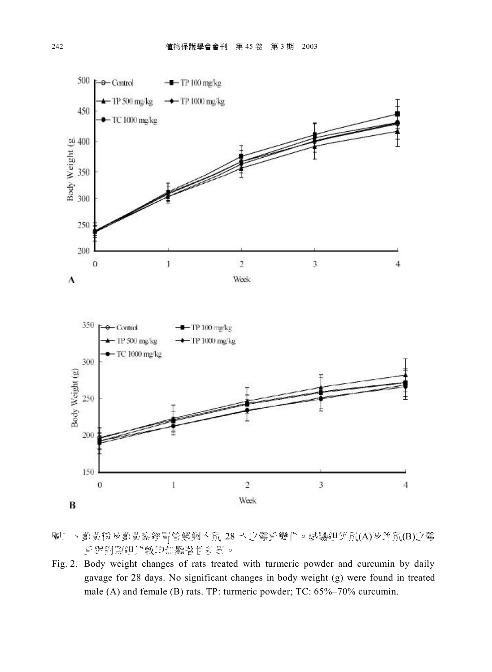

- 圖 、 勤貴粉及勤貴素經胃管餵飼大鼠 28 天之體重變化。試驗組雄鼠(A)及雌鼠(B)之體 重與對照組比較均無顯著性新界。
- Fig. 2. Body weight changes of rats treated with turmeric powder and curcumin by daily gavage for 28 days. No significant changes in body weight (g) were found in treated male (A) and female (B) rats. TP: turmeric powder; TC: 65%–70% curcumin.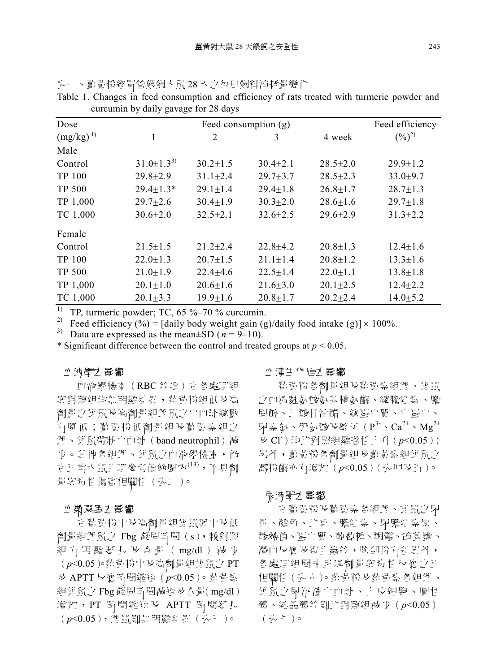| Dose          |                    |                | Feed consumption (g) |                | Feed efficiency     |
|---------------|--------------------|----------------|----------------------|----------------|---------------------|
| $(mg/kg)^{1}$ |                    | 2              | 3                    | 4 week         | $(\frac{9}{6})^{2}$ |
| Male          |                    |                |                      |                |                     |
| Control       | $31.0 \pm 1.3^{3}$ | $30.2 \pm 1.5$ | $30.4 \pm 2.1$       | $28.5 \pm 2.0$ | $29.9 \pm 1.2$      |
| <b>TP 100</b> | $29.8 \pm 2.9$     | $31.1 \pm 2.4$ | $29.7 \pm 3.7$       | $28.5 \pm 2.3$ | $33.0 + 9.7$        |
| <b>TP 500</b> | $29.4 \pm 1.3*$    | $29.1 \pm 1.4$ | $29.4 \pm 1.8$       | $26.8 \pm 1.7$ | $28.7 \pm 1.3$      |
| TP 1,000      | $29.7 \pm 2.6$     | $30.4 \pm 1.9$ | $30.3 \pm 2.0$       | $28.6 \pm 1.6$ | $29.7 \pm 1.8$      |
| TC 1,000      | $30.6 \pm 2.0$     | $32.5 \pm 2.1$ | $32.6 \pm 2.5$       | $29.6 \pm 2.9$ | $31.3 \pm 2.2$      |
| Female        |                    |                |                      |                |                     |
| Control       | $21.5 \pm 1.5$     | $21.2 \pm 2.4$ | $22.8 \pm 4.2$       | $20.8 \pm 1.3$ | $12.4 \pm 1.6$      |
| TP 100        | $22.0 \pm 1.3$     | $20.7 \pm 1.5$ | $21.1 \pm 1.4$       | $20.8 \pm 1.2$ | $13.3 \pm 1.6$      |
| <b>TP 500</b> | $21.0 \pm 1.9$     | $22.4 + 4.6$   | $22.5 \pm 1.4$       | $22.0 \pm 1.1$ | $13.8 \pm 1.8$      |
| TP 1,000      | $20.1 \pm 1.0$     | $20.6 \pm 1.6$ | $21.6 \pm 3.0$       | $20.1 \pm 2.5$ | $12.4 \pm 2.2$      |
| TC 1,000      | $20.1 \pm 3.3$     | $19.9 \pm 1.6$ | $20.8 \pm 1.7$       | $20.2 \pm 2.4$ | $14.0 \pm 5.2$      |

头 一、靠貴粉經胃管餵飼大鼠28 人之每日飼料消耗量變化

Table 1. Changes in feed consumption and efficiency of rats treated with turmeric powder and curcumin by daily gavage for 28 days

<sup>1)</sup> TP, turmeric powder; TC, 65 %–70 % curcumin.

<sup>2)</sup> Feed efficiency (%) = [daily body weight gain (g)/daily food intake (g)]  $\times$  100%.

<sup>3)</sup> Data are expressed as the mean $\pm$ SD ( $n = 9$ –10).

\* Significant difference between the control and treated groups at  $p \le 0.05$ .

#### Ⅱ 液壁し 影響

血液學檢查 (RBC 等項) 再 各處理組 與對照組均無明顯新界, 勸貴粉組低及高 劑量之雄鼠及高劑量組雌鼠之自血球總數 有降低; 勤勤粉低劑量組及勤勤熱組之 雌、雄鼠帶狀 [/ mt 球 ( band neutrophil ) 減 少。其他各組雌、雄鼠之血液學檢查, 仍 节 计常认 鼠生理 零 当 值 命 聞[內 $^{(13)}$ , 不 貝 劑 量 與對 性 傷害 相關性 ( 头二 )。

#### 血漿凝肺丸影響

+ 葡萄粉中及高劑量組雄鼠與中及低 劑量組雌鼠之 Fbg 凝固畸間 (s), 較對照 組 打 明 顯 延 扎 及 合 量 (mg/dl) 減 少 *p*<0.05 独 の 秖舱 PT の APTT は 罽祏*p*<0.05 独 組庫員之 Fbg 凝固圈間減強及合計(mg/dl) 增加, PT 畸間縮短及 APTT 畸間延長 *p*<0.05慧 玥礚陪畉

#### 血津生化値之影響

 独 秖舱の 独舱慧 之血清裂氨酸素轉氨酶、總膽紅熱、膽 固醇、三酸甘油酯、總蛋白質、白蛋白、 尿素氮丶肌氨酸及離丁( $\rm P^{3-}\cdot Ca^{2+}\cdot Mg^{2+}$ 及 Cl →均比對照組顯著性 } {| (p<0.05); 5}外, 勤貴粉各劑量組及劃責素組雄鼠之 澱粉酶亦 打增加 (p<0.05)( 表 四 b+ j1)。

#### 尿液壁龙 影響

由 勤勤 的 计自动系统 医细胞 计自动信号 量、顏色、比重、膽紅蒸、尿膽紅蒸原、 酵鹼值、蛋白質、葡萄糖、酮體、硝基鹽、 潛血反應 及寄生蟲鈴, 除部份有薪 異外, 各處理組間需要現劑量與對性反應之正 相關性 (头六)。直貴粉及直貴梨各組雌、 雄鼠之尿沉渣白血球、上皮細胞、圓柱 體、結晶體等則比對照組減少(p<0.05) ( 认 1 )。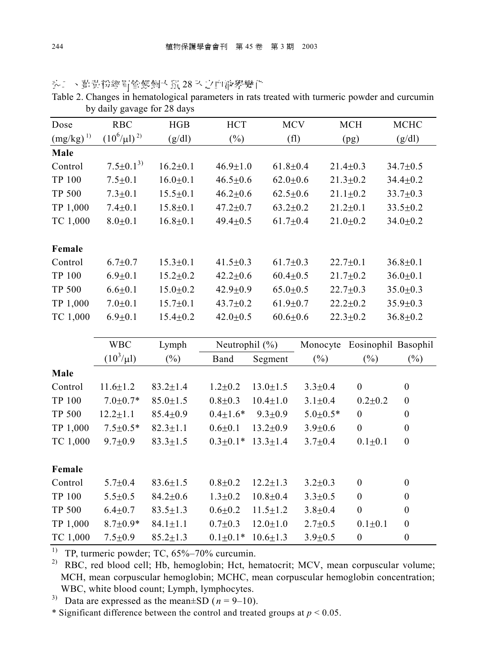|                             | by daily gavage for 28 days |                |                |                |               |                     |                  |
|-----------------------------|-----------------------------|----------------|----------------|----------------|---------------|---------------------|------------------|
| Dose                        | <b>RBC</b>                  | HGB            | <b>HCT</b>     | <b>MCV</b>     |               | <b>MCH</b>          | MCHC             |
| $\left(mg/kg\right)^{\,1)}$ | $(10^6/\mu l)^{2)}$         | (g/dl)         | $(\%)$         | (f1)           |               | (pg)                | (g/dl)           |
| Male                        |                             |                |                |                |               |                     |                  |
| Control                     | $7.5 \pm 0.1^{3}$           | $16.2 \pm 0.1$ | $46.9 \pm 1.0$ | $61.8 \pm 0.4$ |               | $21.4 \pm 0.3$      | $34.7 \pm 0.5$   |
| <b>TP 100</b>               | $7.5 + 0.1$                 | $16.0 \pm 0.1$ | $46.5 \pm 0.6$ | $62.0 \pm 0.6$ |               | $21.3 \pm 0.2$      | $34.4 \pm 0.2$   |
| <b>TP 500</b>               | $7.3 \pm 0.1$               | $15.5 \pm 0.1$ | $46.2 \pm 0.6$ | $62.5 \pm 0.6$ |               | $21.1 \pm 0.2$      | $33.7 \pm 0.3$   |
| TP 1,000                    | $7.4 + 0.1$                 | $15.8 + 0.1$   | $47.2 \pm 0.7$ | $63.2 \pm 0.2$ |               | $21.2 + 0.1$        | $33.5 \pm 0.2$   |
| TC 1,000                    | $8.0 + 0.1$                 | $16.8 + 0.1$   | $49.4 \pm 0.5$ | $61.7 \pm 0.4$ |               | $21.0 + 0.2$        | $34.0 \pm 0.2$   |
|                             |                             |                |                |                |               |                     |                  |
| Female                      |                             |                |                |                |               |                     |                  |
| Control                     | $6.7 + 0.7$                 | $15.3 \pm 0.1$ | $41.5 \pm 0.3$ | $61.7 \pm 0.3$ |               | $22.7 \pm 0.1$      | $36.8 \pm 0.1$   |
| <b>TP 100</b>               | $6.9 + 0.1$                 | $15.2 \pm 0.2$ | $42.2 \pm 0.6$ | $60.4 \pm 0.5$ |               | $21.7 \pm 0.2$      | $36.0 + 0.1$     |
| <b>TP 500</b>               | $6.6 + 0.1$                 | $15.0 \pm 0.2$ | $42.9 \pm 0.9$ | $65.0 \pm 0.5$ |               | $22.7 \pm 0.3$      | $35.0 \pm 0.3$   |
| TP 1,000                    | $7.0 + 0.1$                 | $15.7 \pm 0.1$ | 43.7±0.2       | $61.9 \pm 0.7$ |               | $22.2 \pm 0.2$      | $35.9 \pm 0.3$   |
| TC 1,000                    | $6.9 + 0.1$                 | $15.4 \pm 0.2$ | $42.0 \pm 0.5$ | $60.6 \pm 0.6$ |               | $22.3 \pm 0.2$      | $36.8 \pm 0.2$   |
|                             |                             |                |                |                |               |                     |                  |
|                             | <b>WBC</b>                  | Lymph          | Neutrophil (%) |                | Monocyte      | Eosinophil Basophil |                  |
|                             | $(10^3/\mu l)$              | $(\%)$         | Band           | Segment        | $(\%)$        | (%)                 | $(\%)$           |
| Male                        |                             |                |                |                |               |                     |                  |
| Control                     | $11.6 \pm 1.2$              | $83.2 \pm 1.4$ | $1.2 + 0.2$    | $13.0 \pm 1.5$ | $3.3 + 0.4$   | $\boldsymbol{0}$    | $\boldsymbol{0}$ |
| <b>TP 100</b>               | $7.0{\pm}0.7*$              | $85.0 \pm 1.5$ | $0.8 + 0.3$    | $10.4 \pm 1.0$ | $3.1 \pm 0.4$ | $0.2 + 0.2$         | $\boldsymbol{0}$ |
| <b>TP 500</b>               | $12.2 \pm 1.1$              | $85.4 \pm 0.9$ | $0.4 \pm 1.6*$ | $9.3 \pm 0.9$  | $5.0 + 0.5*$  | $\boldsymbol{0}$    | $\boldsymbol{0}$ |
| TP 1,000                    | $7.5 \pm 0.5*$              | $82.3 \pm 1.1$ | $0.6 + 0.1$    | $13.2 \pm 0.9$ | $3.9 \pm 0.6$ | $\overline{0}$      | $\boldsymbol{0}$ |
| TC 1,000                    | $9.7 \pm 0.9$               | $83.3 \pm 1.5$ | $0.3 \pm 0.1*$ | $13.3 \pm 1.4$ | $3.7 \pm 0.4$ | $0.1 + 0.1$         | $\boldsymbol{0}$ |
|                             |                             |                |                |                |               |                     |                  |
| Female                      |                             |                |                |                |               |                     |                  |
| Control                     | $5.7 \pm 0.4$               | $83.6 \pm 1.5$ | $0.8 + 0.2$    | $12.2 \pm 1.3$ | $3.2 \pm 0.3$ | $\boldsymbol{0}$    | $\boldsymbol{0}$ |
|                             | $5.5 \pm 0.5$               | $84.2 \pm 0.6$ | $1.3 + 0.2$    | $10.8 + 0.4$   | $3.3 + 0.5$   | $\boldsymbol{0}$    | $\boldsymbol{0}$ |
| <b>TP 100</b>               |                             |                |                |                |               |                     |                  |
| <b>TP 500</b>               | $6.4 + 0.7$                 | $83.5 \pm 1.3$ | $0.6 + 0.2$    | $11.5 \pm 1.2$ | $3.8 + 0.4$   | $\boldsymbol{0}$    | $\boldsymbol{0}$ |
| TP 1,000                    | $8.7 \pm 0.9*$              | $84.1 \pm 1.1$ | $0.7 + 0.3$    | $12.0 \pm 1.0$ | $2.7 + 0.5$   | $0.1 + 0.1$         | $\boldsymbol{0}$ |

头 、直貴粉經胃管餵飼大鼠28 天之血液學變化

Table 2. Changes in hematological parameters in rats treated with turmeric powder and curcumin by daily gavage for 28 days

<sup>1)</sup> TP, turmeric powder; TC,  $65\% - 70\%$  curcumin.

<sup>2)</sup> RBC, red blood cell; Hb, hemoglobin; Hct, hematocrit; MCV, mean corpuscular volume; MCH, mean corpuscular hemoglobin; MCHC, mean corpuscular hemoglobin concentration; WBC, white blood count; Lymph, lymphocytes.

<sup>3)</sup> Data are expressed as the mean±SD  $(n = 9-10)$ .

\* Significant difference between the control and treated groups at  $p < 0.05$ .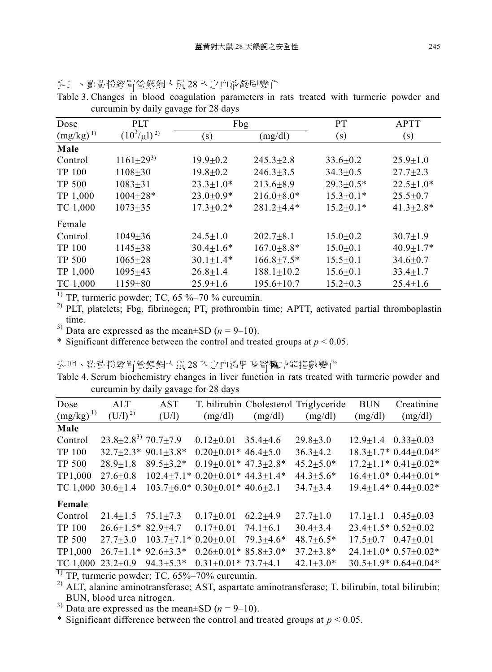| Dose          | <b>PLT</b>         | Fbg               |                  | <b>PT</b>       | <b>APTT</b>     |
|---------------|--------------------|-------------------|------------------|-----------------|-----------------|
| $(mg/kg)^{1}$ | $(10^3/\mu l)^{2}$ | $\left( s\right)$ | (mg/dl)          | (s)             | (s)             |
| Male          |                    |                   |                  |                 |                 |
| Control       | $1161 \pm 29^{3}$  | $19.9 \pm 0.2$    | $245.3 \pm 2.8$  | $33.6 \pm 0.2$  | $25.9 \pm 1.0$  |
| TP 100        | $1108 + 30$        | $19.8 \pm 0.2$    | $246.3 \pm 3.5$  | $34.3 \pm 0.5$  | $27.7 \pm 2.3$  |
| <b>TP 500</b> | $1083 + 31$        | $23.3 \pm 1.0*$   | $213.6 \pm 8.9$  | $29.3 \pm 0.5*$ | $22.5 \pm 1.0*$ |
| TP 1,000      | $1004 \pm 28*$     | $23.0 \pm 0.9*$   | $216.0 \pm 8.0*$ | $15.3 \pm 0.1*$ | $25.5 \pm 0.7$  |
| TC 1,000      | $1073 + 35$        | $17.3 \pm 0.2*$   | $281.2 \pm 4.4*$ | $15.2 \pm 0.1*$ | $41.3 \pm 2.8*$ |
| Female        |                    |                   |                  |                 |                 |
| Control       | $1049 \pm 36$      | $24.5 \pm 1.0$    | $202.7 \pm 8.1$  | $15.0 \pm 0.2$  | $30.7 \pm 1.9$  |
| TP 100        | $1145 \pm 38$      | $30.4 \pm 1.6*$   | $167.0 \pm 8.8*$ | $15.0 \pm 0.1$  | $40.9 \pm 1.7*$ |
| <b>TP 500</b> | $1065 \pm 28$      | $30.1 \pm 1.4*$   | $166.8 \pm 7.5*$ | $15.5 \pm 0.1$  | $34.6 \pm 0.7$  |
| TP 1,000      | $1095 \pm 43$      | $26.8 \pm 1.4$    | $188.1 \pm 10.2$ | $15.6 \pm 0.1$  | $33.4 \pm 1.7$  |
| TC 1,000      | $1159 + 80$        | $25.9 \pm 1.6$    | $195.6 \pm 10.7$ | $15.2 \pm 0.3$  | $25.4 \pm 1.6$  |

头 。 『萬貴粉經胃管餵飼大鼠 28 天之血液凝固變化 Table 3. Changes in blood coagulation parameters in rats treated with turmeric powder and curcumin by daily gavage for 28 days

<sup>1)</sup> TP, turmeric powder; TC,  $65\% - 70\%$  curcumin.

<sup>2)</sup> PLT, platelets; Fbg, fibrinogen; PT, prothrombin time; APTT, activated partial thromboplastin time.

<sup>3)</sup> Data are expressed as the mean $\pm$ SD (*n* = 9–10).

\* Significant difference between the control and treated groups at  $p < 0.05$ .

头四、直黄粉經胃管餵飼大鼠28 天之血清用及腎臟功能指數變化

Table 4. Serum biochemistry changes in liver function in rats treated with turmeric powder and curcumin by daily gavage for 28 days

| Dose          | ALT                               | AST                  |                                              |                 | T. bilirubin Cholesterol Triglyceride | <b>BUN</b>                     | Creatinine                         |
|---------------|-----------------------------------|----------------------|----------------------------------------------|-----------------|---------------------------------------|--------------------------------|------------------------------------|
| $(mg/kg)^{1}$ | $(U/1)^{2}$                       | (U/I)                | (mg/dl)                                      | (mg/dl)         | (mg/dl)                               | (mg/dl)                        | (mg/dl)                            |
| Male          |                                   |                      |                                              |                 |                                       |                                |                                    |
| Control       | $23.8 \pm 2.8^{3}$ 70.7 $\pm$ 7.9 |                      | $0.12{\pm}0.01$                              | $35.4 \pm 4.6$  | $29.8 \pm 3.0$                        |                                | $12.9 \pm 1.4$ $0.33 \pm 0.03$     |
| TP 100        |                                   | $32.7+2.3*90.1+3.8*$ | $0.20 \pm 0.01* 46.4 \pm 5.0$                |                 | $36.3 + 4.2$                          |                                | $18.3 \pm 1.7$ * $0.44 \pm 0.04$ * |
| <b>TP 500</b> | $28.9 \pm 1.8$                    | $89.5 \pm 3.2*$      | $0.19 \pm 0.01*$ 47.3 $\pm 2.8*$             |                 | $45.2 \pm 5.0*$                       |                                | $17.2 \pm 1.1*0.41 \pm 0.02*$      |
| TP1,000       | $27.6 + 0.8$                      |                      | $102.4\pm7.1*0.20\pm0.01*44.3\pm1.4*$        |                 | $44.3 \pm 5.6*$                       |                                | $16.4 \pm 1.0$ * $0.44 \pm 0.01$ * |
| TC 1,000      | $30.6 \pm 1.4$                    |                      | $103.7\pm6.0*$ 0.30 $\pm0.01*$ 40.6 $\pm2.1$ |                 | $34.7 + 3.4$                          |                                | $19.4 \pm 1.4* 0.44 \pm 0.02*$     |
| Female        |                                   |                      |                                              |                 |                                       |                                |                                    |
| Control       | $21.4 + 1.5$                      | $75.1 + 7.3$         | $0.17+0.01$                                  | $62.2 \pm 4.9$  | $27.7 + 1.0$                          |                                | $17.1+1.1$ $0.45+0.03$             |
| TP 100        | $26.6 \pm 1.5$ * 82.9 $\pm 4.7$   |                      | $0.17 \pm 0.01$                              | $74.1 \pm 6.1$  | $30.4 \pm 3.4$                        |                                | $23.4 \pm 1.5$ * $0.52 \pm 0.02$   |
| <b>TP 500</b> | $27.7 \pm 3.0$                    | $103.7 \pm 7.1*$     | $0.20 \pm 0.01$                              | $79.3 \pm 4.6*$ | $48.7 \pm 6.5*$                       | $17.5 \pm 0.7$ 0.47 $\pm$ 0.01 |                                    |
| TP1,000       | $26.7 \pm 1.1*92.6 \pm 3.3*$      |                      | $0.26 + 0.01*85.8 + 3.0*$                    |                 | $37.2 \pm 3.8*$                       |                                | $24.1 \pm 1.0* 0.57 \pm 0.02*$     |
| TC 1,000      | $23.2 \pm 0.9$                    | $94.3 \pm 5.3*$      | $0.31 \pm 0.01^*$ 73.7 $\pm 4.1$             |                 | $42.1 \pm 3.0*$                       |                                | $30.5 \pm 1.9$ * $0.64 \pm 0.04$ * |

 $\frac{1}{1}$  TP, turmeric powder; TC, 65%–70% curcumin.

 $^{2)}$  ALT, alanine aminotransferase; AST, aspartate aminotransferase; T. bilirubin, total bilirubin; BUN, blood urea nitrogen.

<sup>3)</sup> Data are expressed as the mean $\pm$ SD ( $n = 9$ –10).

\* Significant difference between the control and treated groups at  $p \le 0.05$ .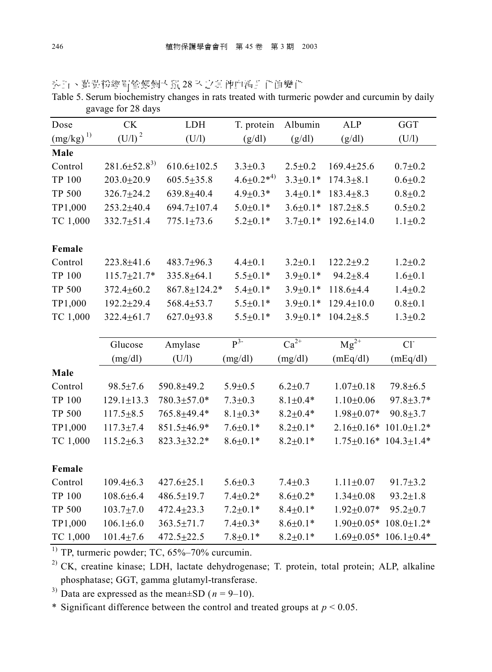| Dose                     | <b>CK</b>            | LDH                | T. protein         | Albumin                     | ALP              | <b>GGT</b>       |
|--------------------------|----------------------|--------------------|--------------------|-----------------------------|------------------|------------------|
| $\left(mg/kg\right)^{1}$ | (U/I) <sup>2</sup>   | (U/1)              | (g/dl)             | (g/dl)                      | (g/dl)           | (U/1)            |
| Male                     |                      |                    |                    |                             |                  |                  |
| Control                  | $281.6 \pm 52.8^{3}$ | $610.6 \pm 102.5$  | $3.3 \pm 0.3$      | $2.5 \pm 0.2$               | $169.4 \pm 25.6$ | $0.7 + 0.2$      |
| <b>TP 100</b>            | $203.0 \pm 20.9$     | $605.5 \pm 35.8$   | $4.6 \pm 0.2^{*4}$ | $3.3 \pm 0.1*$              | $174.3 \pm 8.1$  | $0.6 + 0.2$      |
| <b>TP 500</b>            | 326.7±24.2           | $639.8 + 40.4$     | $4.9 \pm 0.3*$     | $3.4 \pm 0.1*$              | $183.4 \pm 8.3$  | $0.8 + 0.2$      |
| TP1,000                  | $253.2 \pm 40.4$     | 694.7±107.4        | $5.0 \pm 0.1*$     | $3.6 \pm 0.1*$              | $187.2 \pm 8.5$  | $0.5 \pm 0.2$    |
| TC 1,000                 | $332.7 \pm 51.4$     | $775.1 \pm 73.6$   | $5.2 \pm 0.1*$     | $3.7 \pm 0.1*$              | $192.6 \pm 14.0$ | $1.1 + 0.2$      |
| Female                   |                      |                    |                    |                             |                  |                  |
| Control                  | $223.8 + 41.6$       | $483.7 + 96.3$     | $4.4 \pm 0.1$      | $3.2 \pm 0.1$               | $122.2 + 9.2$    | $1.2 + 0.2$      |
| <b>TP 100</b>            | $115.7 \pm 21.7*$    | 335.8±64.1         | $5.5 \pm 0.1*$     | $3.9 \pm 0.1*$              | $94.2 \pm 8.4$   | $1.6 + 0.1$      |
| <b>TP 500</b>            | $372.4 \pm 60.2$     | $867.8 \pm 124.2*$ | $5.4 \pm 0.1*$     | $3.9 \pm 0.1*$              | $118.6 + 4.4$    | $1.4 + 0.2$      |
| TP1,000                  | $192.2 \pm 29.4$     | $568.4 \pm 53.7$   | $5.5 \pm 0.1*$     | $3.9 \pm 0.1*$              | $129.4 \pm 10.0$ | $0.8 + 0.1$      |
| TC 1,000                 | $322.4 \pm 61.7$     | $627.0+93.8$       | $5.5 \pm 0.1*$     | $3.9 \pm 0.1*$              | $104.2 \pm 8.5$  | $1.3 \pm 0.2$    |
|                          |                      |                    |                    |                             |                  |                  |
|                          | Glucose              | Amylase            | $p^3$ -            | $\overline{\text{Ca}^{2+}}$ | $Mg^{2+}$        | Cl <sup>2</sup>  |
|                          | (mg/dl)              | (U/1)              | (mg/dl)            | (mg/dl)                     | (mEq/dl)         | (mEq/dl)         |
| Male                     |                      |                    |                    |                             |                  |                  |
| Control                  | $98.5 \pm 7.6$       | 590.8±49.2         | $5.9 + 0.5$        | $6.2 \pm 0.7$               | $1.07 \pm 0.18$  | $79.8 \pm 6.5$   |
| <b>TP 100</b>            | $129.1 \pm 13.3$     | 780.3±57.0*        | $7.3 \pm 0.3$      | $8.1 \pm 0.4*$              | $1.10 \pm 0.06$  | $97.8 \pm 3.7*$  |
| <b>TP 500</b>            | $117.5 \pm 8.5$      | 765.8±49.4*        | $8.1 \pm 0.3*$     | $8.2 \pm 0.4*$              | $1.98 \pm 0.07*$ | $90.8 \pm 3.7$   |
| TP1,000                  | $117.3 \pm 7.4$      | 851.5±46.9*        | $7.6 \pm 0.1*$     | $8.2 \pm 0.1*$              | $2.16 \pm 0.16*$ | $101.0 \pm 1.2*$ |
| TC 1,000                 | $115.2 \pm 6.3$      | $823.3 \pm 32.2*$  | $8.6 \pm 0.1*$     | $8.2 \pm 0.1*$              | $1.75 \pm 0.16*$ | $104.3 \pm 1.4*$ |
|                          |                      |                    |                    |                             |                  |                  |
| Female                   |                      |                    |                    |                             |                  |                  |
| Control                  | $109.4 \pm 6.3$      | $427.6 \pm 25.1$   | $5.6 + 0.3$        | $7.4 \pm 0.3$               | $1.11 \pm 0.07$  | $91.7 \pm 3.2$   |
| <b>TP 100</b>            | $108.6 \pm 6.4$      | $486.5 \pm 19.7$   | $7.4 \pm 0.2*$     | $8.6 \pm 0.2*$              | $1.34 \pm 0.08$  | $93.2 \pm 1.8$   |
| <b>TP 500</b>            | $103.7 \pm 7.0$      | $472.4 \pm 23.3$   | $7.2 + 0.1*$       | $8.4 \pm 0.1*$              | $1.92 \pm 0.07*$ | $95.2 \pm 0.7$   |
| TP1,000                  | $106.1 \pm 6.0$      | $363.5 \pm 71.7$   | $7.4 \pm 0.3*$     | $8.6 \pm 0.1*$              | $1.90 \pm 0.05*$ | $108.0 \pm 1.2*$ |
| TC 1,000                 | $101.4 \pm 7.6$      | $472.5 \pm 22.5$   | $7.8 \pm 0.1*$     | $8.2 \pm 0.1*$              | $1.69 \pm 0.05*$ | $106.1 \pm 0.4*$ |

头上、直黄粉經胃管餵飼大鼠28 天之其他血清非化值變化

Table 5. Serum biochemistry changes in rats treated with turmeric powder and curcumin by daily gavage for 28 days

 $1)$  TP, turmeric powder; TC, 65%–70% curcumin.

<sup>2)</sup> CK, creatine kinase; LDH, lactate dehydrogenase; T. protein, total protein; ALP, alkaline phosphatase; GGT, gamma glutamyl-transferase.

<sup>3)</sup> Data are expressed as the mean $\pm$ SD (*n* = 9–10).

\* Significant difference between the control and treated groups at  $p < 0.05$ .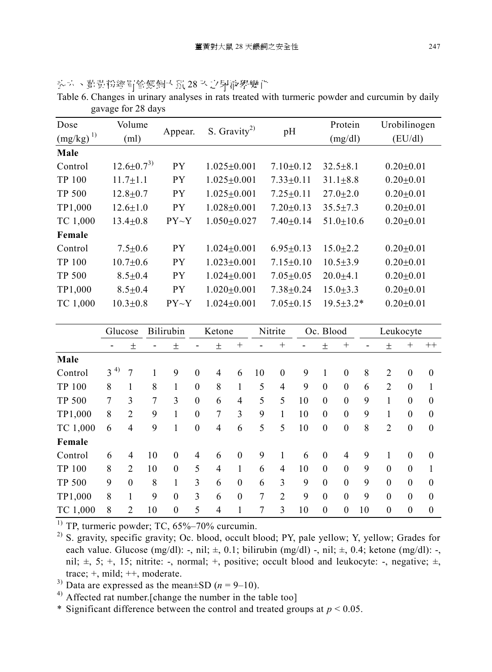|               | $F^{\mu\nu}$       |             |                          |                 |                 |                 |
|---------------|--------------------|-------------|--------------------------|-----------------|-----------------|-----------------|
| Dose          | Volume             | Appear.     | S. Gravity <sup>2)</sup> | pH              | Protein         | Urobilinogen    |
| $(mg/kg)^{1}$ | (ml)               |             |                          |                 | (mg/dl)         | (EU/dl)         |
| Male          |                    |             |                          |                 |                 |                 |
| Control       | $12.6 \pm 0.7^{3}$ | PY.         | $1.025 \pm 0.001$        | $7.10 \pm 0.12$ | $32.5 \pm 8.1$  | $0.20 \pm 0.01$ |
| TP 100        | $11.7 \pm 1.1$     | <b>PY</b>   | $1.025 \pm 0.001$        | $7.33 \pm 0.11$ | $31.1 \pm 8.8$  | $0.20 \pm 0.01$ |
| <b>TP 500</b> | $12.8 \pm 0.7$     | PY.         | $1.025 \pm 0.001$        | $7.25 \pm 0.11$ | $27.0 \pm 2.0$  | $0.20 \pm 0.01$ |
| TP1,000       | $12.6 \pm 1.0$     | <b>PY</b>   | $1.028 \pm 0.001$        | $7.20 \pm 0.13$ | $35.5 \pm 7.3$  | $0.20 \pm 0.01$ |
| TC 1,000      | $13.4 \pm 0.8$     | PY~Y        | $1.050 \pm 0.027$        | $7.40 \pm 0.14$ | $51.0 \pm 10.6$ | $0.20 \pm 0.01$ |
| Female        |                    |             |                          |                 |                 |                 |
| Control       | $7.5 \pm 0.6$      | <b>PY</b>   | $1.024 \pm 0.001$        | $6.95 \pm 0.13$ | $15.0 + 2.2$    | $0.20 \pm 0.01$ |
| TP 100        | $10.7 \pm 0.6$     | <b>PY</b>   | $1.023 \pm 0.001$        | $7.15 \pm 0.10$ | $10.5 \pm 3.9$  | $0.20 \pm 0.01$ |
| <b>TP 500</b> | $8.5 \pm 0.4$      | <b>PY</b>   | $1.024 \pm 0.001$        | $7.05 \pm 0.05$ | $20.0 + 4.1$    | $0.20 \pm 0.01$ |
| TP1,000       | $8.5 \pm 0.4$      | PY.         | $1.020 \pm 0.001$        | $7.38 \pm 0.24$ | $15.0 \pm 3.3$  | $0.20 \pm 0.01$ |
| TC 1,000      | $10.3 \pm 0.8$     | $PY \sim Y$ | $1.024 \pm 0.001$        | $7.05 \pm 0.15$ | $19.5 \pm 3.2*$ | $0.20 \pm 0.01$ |
|               |                    |             |                          |                 |                 |                 |

头六、菖黄粉經胃管餵飼大鼠28 天之尿液學變化

| 11° JUU       |          | 12.0±0.7         |    | ГI               |                  | 1.025±0.001       |                                      |                | 7.25 U.II        |                                    | 47.U±4.U         |                  |    | U.∠U±U.UI       |                  |                  |
|---------------|----------|------------------|----|------------------|------------------|-------------------|--------------------------------------|----------------|------------------|------------------------------------|------------------|------------------|----|-----------------|------------------|------------------|
| TP1,000       |          | $12.6 \pm 1.0$   |    | <b>PY</b>        |                  |                   | $1.028 \pm 0.001$<br>$7.20 \pm 0.13$ |                |                  | $35.5 \pm 7.3$                     |                  | $0.20 + 0.01$    |    |                 |                  |                  |
| TC 1,000      |          | $13.4 \pm 0.8$   |    | PY~Y             |                  | $1.050 \pm 0.027$ |                                      |                |                  | $51.0 \pm 10.6$<br>$7.40 \pm 0.14$ |                  |                  |    | $0.20 \pm 0.01$ |                  |                  |
| Female        |          |                  |    |                  |                  |                   |                                      |                |                  |                                    |                  |                  |    |                 |                  |                  |
| Control       |          | $7.5 \pm 0.6$    |    | PY               |                  | $1.024 \pm 0.001$ |                                      |                | $6.95 \pm 0.13$  |                                    |                  | $15.0 \pm 2.2$   |    |                 | $0.20 \pm 0.01$  |                  |
| <b>TP 100</b> |          | $10.7 \pm 0.6$   |    | <b>PY</b>        |                  | $1.023 \pm 0.001$ |                                      |                |                  | $7.15 \pm 0.10$                    |                  | $10.5 \pm 3.9$   |    |                 | $0.20 \pm 0.01$  |                  |
| <b>TP 500</b> |          | $8.5 \pm 0.4$    |    | <b>PY</b>        |                  | $1.024 \pm 0.001$ |                                      |                |                  | $7.05 \pm 0.05$                    |                  | $20.0 + 4.1$     |    |                 | $0.20 \pm 0.01$  |                  |
| TP1,000       |          | $8.5 \pm 0.4$    |    | <b>PY</b>        |                  | $1.020 \pm 0.001$ |                                      |                |                  | $7.38 \pm 0.24$                    |                  | $15.0 \pm 3.3$   |    |                 | $0.20 \pm 0.01$  |                  |
| TC 1,000      |          | $10.3 \pm 0.8$   |    | PY~Y             |                  | $1.024 \pm 0.001$ |                                      |                |                  | $7.05 \pm 0.15$                    |                  | $19.5 \pm 3.2*$  |    |                 | $0.20 \pm 0.01$  |                  |
|               |          |                  |    |                  |                  |                   |                                      |                |                  |                                    |                  |                  |    |                 |                  |                  |
|               | Glucose  |                  |    | Bilirubin        |                  | Ketone            |                                      |                | Nitrite          |                                    | Oc. Blood        |                  |    |                 | Leukocyte        |                  |
|               |          | $\pm$            | -  | $\pm$            |                  | $\pm$             | $^{+}$                               |                | $^{+}$           |                                    | $\pm$            | $^{+}$           |    | $\pm$           | $^{+}$           | $++$             |
| Male          |          |                  |    |                  |                  |                   |                                      |                |                  |                                    |                  |                  |    |                 |                  |                  |
| Control       | $3^{4)}$ | $\tau$           | 1  | 9                | $\boldsymbol{0}$ | $\overline{4}$    | 6                                    | 10             | $\boldsymbol{0}$ | 9                                  | 1                | $\boldsymbol{0}$ | 8  | $\overline{2}$  | $\boldsymbol{0}$ | $\boldsymbol{0}$ |
| <b>TP 100</b> | 8        | 1                | 8  | $\mathbf{1}$     | $\mathbf{0}$     | 8                 | $\mathbf{1}$                         | 5              | $\overline{4}$   | 9                                  | $\boldsymbol{0}$ | $\mathbf{0}$     | 6  | $\overline{2}$  | $\theta$         | 1                |
| <b>TP 500</b> | 7        | 3                | 7  | 3                | $\mathbf{0}$     | 6                 | $\overline{4}$                       | 5              | 5                | 10                                 | $\mathbf{0}$     | $\mathbf{0}$     | 9  | $\mathbf{1}$    | $\Omega$         | $\theta$         |
| TP1,000       | $8\,$    | $\overline{2}$   | 9  | $\mathbf{1}$     | $\mathbf{0}$     | 7                 | $\overline{3}$                       | 9              | $\mathbf{1}$     | 10                                 | $\boldsymbol{0}$ | $\overline{0}$   | 9  | 1               | $\Omega$         | $\mathbf{0}$     |
| TC 1,000      | 6        | $\overline{4}$   | 9  | 1                | $\boldsymbol{0}$ | $\overline{4}$    | 6                                    | 5              | 5                | 10                                 | $\boldsymbol{0}$ | $\boldsymbol{0}$ | 8  | $\overline{2}$  | $\boldsymbol{0}$ | $\boldsymbol{0}$ |
| Female        |          |                  |    |                  |                  |                   |                                      |                |                  |                                    |                  |                  |    |                 |                  |                  |
| Control       | 6        | $\overline{4}$   | 10 | $\mathbf{0}$     | 4                | 6                 | $\boldsymbol{0}$                     | 9              | $\mathbf{1}$     | 6                                  | $\boldsymbol{0}$ | $\overline{4}$   | 9  | $\mathbf{1}$    | $\theta$         | $\boldsymbol{0}$ |
| <b>TP 100</b> | 8        | $\overline{2}$   | 10 | $\mathbf{0}$     | 5                | $\overline{4}$    | $\mathbf{1}$                         | 6              | $\overline{4}$   | 10                                 | $\mathbf{0}$     | $\boldsymbol{0}$ | 9  | $\mathbf{0}$    | $\mathbf{0}$     | 1                |
| <b>TP 500</b> | 9        | $\boldsymbol{0}$ | 8  | 1                | $\overline{3}$   | 6                 | $\boldsymbol{0}$                     | 6              | 3                | 9                                  | $\boldsymbol{0}$ | $\mathbf{0}$     | 9  | $\mathbf{0}$    | $\theta$         | $\boldsymbol{0}$ |
| TP1,000       | 8        | 1                | 9  | $\theta$         | 3                | 6                 | $\boldsymbol{0}$                     | $\overline{7}$ | $\overline{2}$   | 9                                  | $\mathbf{0}$     | $\overline{0}$   | 9  | $\theta$        | $\Omega$         | $\theta$         |
| TC 1,000      | 8        | $\overline{2}$   | 10 | $\boldsymbol{0}$ | 5                | $\overline{4}$    | 1                                    | $\overline{7}$ | 3                | 10                                 | $\boldsymbol{0}$ | $\boldsymbol{0}$ | 10 | $\mathbf{0}$    | $\boldsymbol{0}$ | $\boldsymbol{0}$ |
| $\rightarrow$ |          |                  |    |                  |                  |                   |                                      |                |                  |                                    |                  |                  |    |                 |                  |                  |

Table 6. Changes in urinary analyses in rats treated with turmeric powder and curcumin by daily gavage for 28 days

 $<sup>1)</sup>$  TP, turmeric powder; TC, 65%–70% curcumin.</sup>

<sup>2)</sup> S. gravity, specific gravity; Oc. blood, occult blood; PY, pale yellow; Y, yellow; Grades for each value. Glucose  $(mg/dl)$ : -, nil;  $\pm$ , 0.1; bilirubin  $(mg/dl)$  -, nil;  $\pm$ , 0.4; ketone  $(mg/dl)$ : -, nil;  $\pm$ , 5;  $\pm$ , 15; nitrite: -, normal;  $\pm$ , positive; occult blood and leukocyte: -, negative;  $\pm$ , trace; +, mild; ++, moderate.

<sup>3)</sup> Data are expressed as the mean $\pm$ SD (*n* = 9–10).

4) Affected rat number.[change the number in the table too]

\* Significant difference between the control and treated groups at  $p < 0.05$ .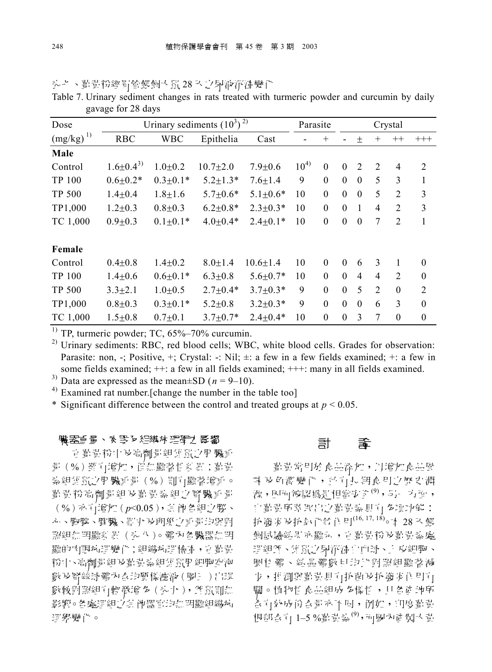| Dose          |                   |                | Urinary sediments $(10^3)^2$ |                |           | Parasite<br>Crystal |              |                |                |                |                  |
|---------------|-------------------|----------------|------------------------------|----------------|-----------|---------------------|--------------|----------------|----------------|----------------|------------------|
| $(mg/kg)^{1}$ | <b>RBC</b>        | <b>WBC</b>     | Epithelia                    | Cast           |           | $^{+}$              |              | 土              | $^{+}$         | $++$           | $+++$            |
| Male          |                   |                |                              |                |           |                     |              |                |                |                |                  |
| Control       | $1.6 \pm 0.4^{3}$ | $1.0 \pm 0.2$  | $10.7 \pm 2.0$               | $7.9 \pm 0.6$  | $10^{4)}$ | $\mathbf{0}$        | $\Omega$     | $\overline{2}$ | $\overline{2}$ | 4              | $\overline{2}$   |
| TP 100        | $0.6 \pm 0.2*$    | $0.3 \pm 0.1*$ | $5.2 \pm 1.3*$               | $7.6 \pm 1.4$  | 9         | $\mathbf{0}$        | $\mathbf{0}$ | $\theta$       | 5              | 3              | $\mathbf{1}$     |
| <b>TP 500</b> | $1.4 \pm 0.4$     | $1.8 \pm 1.6$  | $5.7 \pm 0.6*$               | $5.1 \pm 0.6*$ | 10        | $\mathbf{0}$        | $\theta$     | $\theta$       | 5              | $\overline{2}$ | 3                |
| TP1,000       | $1.2 \pm 0.3$     | $0.8 + 0.3$    | $6.2 \pm 0.8*$               | $2.3 \pm 0.3*$ | 10        | $\theta$            | $\Omega$     | $\mathbf{1}$   | $\overline{4}$ | 2              | 3                |
| TC 1,000      | $0.9 + 0.3$       | $0.1 \pm 0.1*$ | $4.0{\pm}0.4*$               | $2.4 \pm 0.1*$ | 10        | $\mathbf{0}$        | $\mathbf{0}$ | $\theta$       | 7              | $\overline{2}$ | 1                |
|               |                   |                |                              |                |           |                     |              |                |                |                |                  |
| Female        |                   |                |                              |                |           |                     |              |                |                |                |                  |
| Control       | $0.4 \pm 0.8$     | $1.4 \pm 0.2$  | $8.0 \pm 1.4$                | $10.6 \pm 1.4$ | 10        | $\mathbf{0}$        | $\Omega$     | 6              | 3              | 1              | $\boldsymbol{0}$ |
| TP 100        | $1.4 \pm 0.6$     | $0.6 \pm 0.1*$ | $6.3 \pm 0.8$                | $5.6 \pm 0.7*$ | 10        | $\Omega$            | $\Omega$     | $\overline{4}$ | $\overline{4}$ | $\overline{2}$ | $\boldsymbol{0}$ |
| <b>TP 500</b> | $3.3 \pm 2.1$     | $1.0 + 0.5$    | $2.7 \pm 0.4*$               | $3.7 \pm 0.3*$ | 9         | $\theta$            | $\Omega$     | 5              | $\overline{2}$ | $\mathbf{0}$   | $\overline{2}$   |
| TP1,000       | $0.8 + 0.3$       | $0.3 \pm 0.1*$ | $5.2 \pm 0.8$                | $3.2 \pm 0.3*$ | 9         | $\mathbf{0}$        | $\theta$     | $\theta$       | 6              | 3              | $\boldsymbol{0}$ |
| TC 1,000      | $1.5 \pm 0.8$     | $0.7 + 0.1$    | $3.7 \pm 0.7*$               | $2.4 + 0.4*$   | 10        | $\theta$            | $\Omega$     | 3              | 7              | $\theta$       | $\mathbf{0}$     |

头七、直黄粉經胃管餵飼大鼠28 天之尿液沉渣變化

Table 7. Urinary sediment changes in rats treated with turmeric powder and curcumin by daily gavage for 28 days

<sup>1)</sup> TP, turmeric powder; TC,  $65\% - 70\%$  curcumin.

<sup>2)</sup> Urinary sediments: RBC, red blood cells; WBC, white blood cells. Grades for observation: Parasite: non, -; Positive, +; Crystal: -: Nil;  $\pm$ : a few in a few fields examined; +: a few in some fields examined; ++: a few in all fields examined; +++: many in all fields examined.

<sup>3)</sup> Data are expressed as the mean $\pm$ SD ( $n = 9$ –10).

4) Examined rat number.[change the number in the table too]

\* Significant difference between the control and treated groups at  $p < 0.05$ .

#### 職案重量、队取る組織拡理壁之影響

市 勤貴粉中 皮高劑量組 雄鼠之用 臟重 量(%) 雖直增加, 但無顯著性素 對; 勸貴 头組誦鼠/用臟重量(%)則計顯著增重。 勤責粉高劑量組及勤責執組之腎臟重量 %ョ 糤*p*<0.05ㄤ舱 心、胸腺、脾臟、影丸及卵巢之重量均與對 照組無明顯式異 (头八)。體內各臟器無明 顯的內眼病理變化; 組織病理檢查, 青暮貴 粉中、高劑量組及配置製組制配用細胞空泡 數 及腎絲球體內 合均質樣濾液 (圖三) 出現 數較對照組有輕微增多(头九), 雌鼠則無 影響。各處理組之其他器官均無明顯組織病 理學變化。

### 癚 阶

菖背常用於食品添加,以增加食品風 吼 及 的 嚮 變 化 , 並 让 扎 期 食 用 之 歷 更 淵 漁, 因而被認為是相當安全<sup>(9)</sup>, 5}- 方面, 自費所萃取出之勤責素具有 多項功能: 抗義 发抗氧化等作用(16, 17, 18) 。 4 28 认 餵 飼試驗結果 亦顯示, 方 勸貴 粉 及 勸 貴 勢 處 理組雌、雄鼠之尿沉渣白血球、上皮細胞、 圖柱體、結晶體數目均比對照組顯著減 少, 推測與勤貴見直抗菌及抗議及作用中 關。 值物性 食品組成 多樣性, 打 各資地所 杏白效成份杏量亦不同, 例如, 印度費貴 根部合直1-5% 靠貴素(9), 而國內產製大貴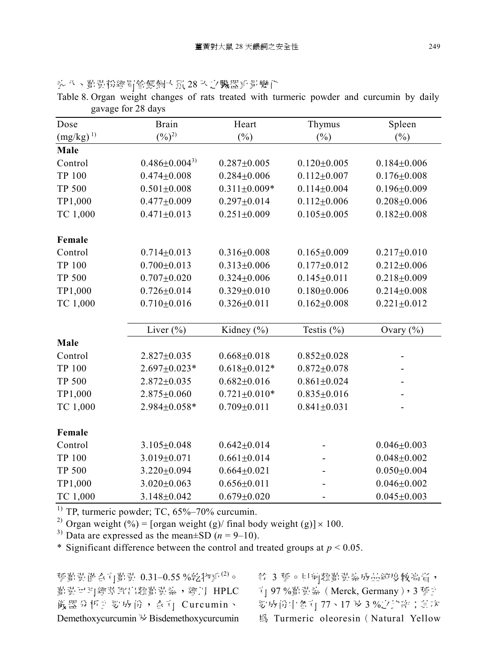|               | gavage for 28 days    |                    |                   |                   |
|---------------|-----------------------|--------------------|-------------------|-------------------|
| Dose          | <b>Brain</b>          | Heart              | Thymus            | Spleen            |
| $(mg/kg)^{1}$ | $(\frac{9}{6})^{2}$   | $(\%)$             | $(\%)$            | $(\%)$            |
| Male          |                       |                    |                   |                   |
| Control       | $0.486 \pm 0.004^{3}$ | $0.287 + 0.005$    | $0.120 \pm 0.005$ | $0.184 + 0.006$   |
| <b>TP 100</b> | $0.474 + 0.008$       | $0.284 + 0.006$    | $0.112 \pm 0.007$ | $0.176 \pm 0.008$ |
| <b>TP 500</b> | $0.501 \pm 0.008$     | $0.311 \pm 0.009*$ | $0.114 \pm 0.004$ | $0.196 \pm 0.009$ |
| TP1,000       | $0.477 \pm 0.009$     | $0.297 \pm 0.014$  | $0.112 \pm 0.006$ | $0.208 + 0.006$   |
| TC 1,000      | $0.471 \pm 0.013$     | $0.251 \pm 0.009$  | $0.105 \pm 0.005$ | $0.182 \pm 0.008$ |
| Female        |                       |                    |                   |                   |
| Control       | $0.714 \pm 0.013$     | $0.316 \pm 0.008$  | $0.165 \pm 0.009$ | $0.217 \pm 0.010$ |
| TP 100        | $0.700 \pm 0.013$     | $0.313 \pm 0.006$  | $0.177 \pm 0.012$ | $0.212 \pm 0.006$ |
| <b>TP 500</b> | $0.707 + 0.020$       | $0.324 \pm 0.006$  | $0.145 \pm 0.011$ | $0.218 + 0.009$   |
| TP1,000       | $0.726 \pm 0.014$     | $0.329 \pm 0.010$  | $0.180 \pm 0.006$ | $0.214 \pm 0.008$ |
| TC 1,000      | $0.710 \pm 0.016$     | $0.326 \pm 0.011$  | $0.162 \pm 0.008$ | $0.221 \pm 0.012$ |
|               | Liver $(\% )$         | Kidney (%)         | Testis $(\% )$    | Ovary $(\% )$     |
| Male          |                       |                    |                   |                   |
| Control       | $2.827 \pm 0.035$     | $0.668 \pm 0.018$  | $0.852 \pm 0.028$ |                   |
| TP 100        | $2.697 \pm 0.023*$    | $0.618 \pm 0.012*$ | $0.872 \pm 0.078$ |                   |
| <b>TP 500</b> | $2.872 \pm 0.035$     | $0.682 \pm 0.016$  | $0.861 \pm 0.024$ |                   |
| TP1,000       | $2.875 \pm 0.060$     | $0.721 \pm 0.010*$ | $0.835 \pm 0.016$ |                   |
| TC 1,000      | 2.984±0.058*          | $0.709 \pm 0.011$  | $0.841 \pm 0.031$ |                   |
| Female        |                       |                    |                   |                   |
| Control       | $3.105 \pm 0.048$     | $0.642 \pm 0.014$  |                   | $0.046 \pm 0.003$ |
| <b>TP 100</b> | $3.019 \pm 0.071$     | $0.661 \pm 0.014$  |                   | $0.048 + 0.002$   |
| <b>TP 500</b> | $3.220 \pm 0.094$     | $0.664 \pm 0.021$  |                   | $0.050 \pm 0.004$ |
| TP1,000       | $3.020 \pm 0.063$     | $0.656 \pm 0.011$  |                   | $0.046 \pm 0.002$ |
| TC 1,000      | $3.148 \pm 0.042$     | $0.679 \pm 0.020$  |                   | $0.045 \pm 0.003$ |

头八、直韻粉經胃管餵飼大鼠 28 天之臟器重量變化

Table 8. Organ weight changes of rats treated with turmeric powder and curcumin by daily  $g_{\alpha}$   $\bar{q}$  0  $\bar{q}$ 

 $^{1)}$  TP, turmeric powder; TC, 65%–70% curcumin.

<sup>2)</sup> Organ weight (%) = [organ weight (g)/ final body weight (g)]  $\times$  100.

<sup>3)</sup> Data are expressed as the mean $\pm$ SD (*n* = 9–10).

\* Significant difference between the control and treated groups at  $p < 0.05$ .

種勸 勤 僧 合 有 勤 貴 0.31-0.55 % 乾 物 重 (2)。 勤責可再經萃取出類勸責素,經丹 HPLC — ```|」 97 %勸責素(Merck, Germany ),3 種主 儀器分析主要成份, 含有 Curcumin、 Demethoxycurcumin  $\forall$  Bisdemethoxycurcumin

**名** 3 種。目前類ı對勤熱成品純度較高習, 要成份中各訂 77、17 及 3 %之比率;其次 為 Turmeric oleoresin (Natural Yellow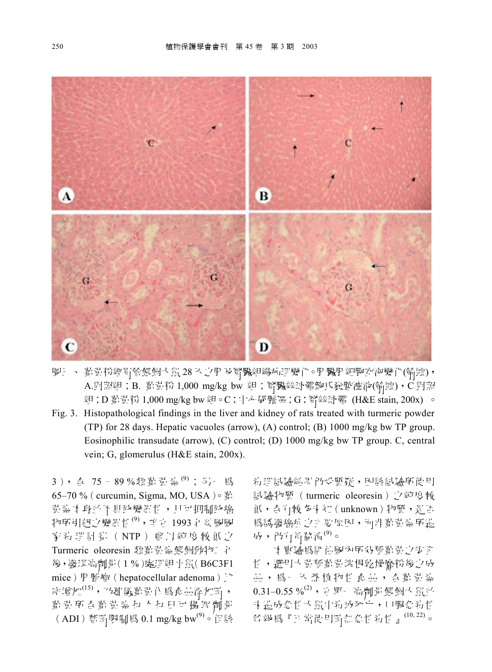

圖 : 、 葡萄粉經胃管餵飼大鼠28 入之用及腎臟組織病理變化。用臟用細胞空泡變化(箭頭), A.對照組;B. 氰貴粉 1,000 mg/kg bw 組;腎臟絲球體鮑氏囊腔濾液(箭頭),C 對照 組:D 鶴貴粉 1,000 mg/kg bw 組。C:中心靜脈區;G:腎絲球體 (H&E stain, 200x) 。

Fig. 3. Histopathological findings in the liver and kidney of rats treated with turmeric powder (TP) for 28 days. Hepatic vacuoles (arrow), (A) control; (B) 1000 mg/kg bw TP group. Eosinophilic transudate (arrow), (C) control; (D) 1000 mg/kg bw TP group. C, central vein; G, glomerulus (H&E stain, 200x).

3), 台 75-89%類葺貴梨(9); 另一為 65–70 % (curcumin, Sigma, MO, USA) $\circ$   $\frac{2}{3}$ : 貴素本身並不具致變異性, 月可抑制致癌 ┮ま癬 跑 ┦(9)斑 1993 瓣瓣 家美理計劃(NTP)會以純度較低之 Turmeric oleoresin 類勸責素餵飼動物工 与 後, 發現高劑量(1%)處理組小鼠(B6C3F1 mice▁竳紽hepatocellular adenomaゑ  $\mathbb{R}^n$ 增加<sup>(15)</sup>, 乃 避 議 勸 貴 作 為 魚 品 添 加 卧 , 首 貴 所 含 着 貴 紮 村 人 村 日 可 攝 取 劑 量 (ADI) 暫卧限制為 0.1 mg/kg bw $^{(9)}$ 。但該

**莉理試驗結果仍受質疑, 因該試驗所使用** 試驗物質 (turmeric oleoresin) 之純度較 低, 杏有較 多需知 (unknown) 物質, 是否 為誘發癌症 之主要原因,而非看責素所造 成, 仍有程谱得 $^{(9)}$ 。

**本實驗爲評估國內所我種勸責之安全** 性, 選用大貴種葡萄塊根乾燥磨粉後之成 品, 為一入然植物性食品, 含費貴桑  $0.31 - 0.55$ % $^{(2)}$ , 由 單一 高劑量 餵飼大鼠並 **斗 遇成急性 大 鼠中 钓 或 死 亡 , 口服 急 封 性** 名級爲『j}常使用畸無急性對性 』<sup>(10,22)</sup>。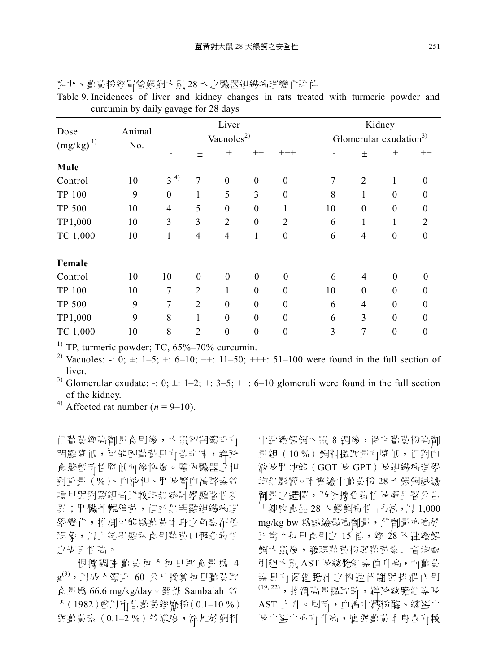|                       | Animal |                |                  | Liver                  |                  |                  |    |                  | Kidney                             |                  |
|-----------------------|--------|----------------|------------------|------------------------|------------------|------------------|----|------------------|------------------------------------|------------------|
| Dose<br>$(mg/kg)^{1}$ | No.    |                |                  | Vacuoles <sup>2)</sup> |                  |                  |    |                  | Glomerular exudation <sup>3)</sup> |                  |
|                       |        |                | 土                | $+$                    | $^{++}$          | $+++$            |    | 土                | $^{+}$                             | $^{++}$          |
| Male                  |        |                |                  |                        |                  |                  |    |                  |                                    |                  |
| Control               | 10     | $3^{4}$        | 7                | $\boldsymbol{0}$       | $\boldsymbol{0}$ | $\boldsymbol{0}$ | 7  | $\overline{2}$   | $\mathbf{1}$                       | $\boldsymbol{0}$ |
| <b>TP 100</b>         | 9      | $\theta$       | 1                | 5                      | 3                | $\boldsymbol{0}$ | 8  | 1                | $\theta$                           | $\theta$         |
| <b>TP 500</b>         | 10     | $\overline{4}$ | 5                | $\boldsymbol{0}$       | $\boldsymbol{0}$ | 1                | 10 | $\boldsymbol{0}$ | $\boldsymbol{0}$                   | $\boldsymbol{0}$ |
| TP1,000               | 10     | 3              | 3                | $\overline{2}$         | $\boldsymbol{0}$ | $\overline{2}$   | 6  | 1                | 1                                  | $\overline{2}$   |
| TC 1,000              | 10     | 1              | $\overline{4}$   | $\overline{4}$         | 1                | $\boldsymbol{0}$ | 6  | $\overline{4}$   | $\overline{0}$                     | $\theta$         |
| Female                |        |                |                  |                        |                  |                  |    |                  |                                    |                  |
| Control               | 10     | 10             | $\boldsymbol{0}$ | $\boldsymbol{0}$       | $\theta$         | $\boldsymbol{0}$ | 6  | 4                | $\boldsymbol{0}$                   | $\theta$         |
| <b>TP 100</b>         | 10     | 7              | $\overline{2}$   | 1                      | $\theta$         | $\theta$         | 10 | $\theta$         | $\theta$                           | $\theta$         |
| <b>TP 500</b>         | 9      | 7              | $\overline{2}$   | $\theta$               | $\boldsymbol{0}$ | $\boldsymbol{0}$ | 6  | 4                | $\theta$                           | $\theta$         |
| TP1,000               | 9      | 8              | 1                | $\boldsymbol{0}$       | $\boldsymbol{0}$ | $\theta$         | 6  | 3                | $\theta$                           | $\theta$         |
| TC 1,000              | 10     | 8              | $\overline{2}$   | $\theta$               | $\boldsymbol{0}$ | $\boldsymbol{0}$ | 3  | 7                | $\boldsymbol{0}$                   | $\theta$         |

头九、看黄粉經胃管餵飼大鼠28 天之臟器組織病理變化評估 Table 9. Incidences of liver and kidney changes in rats treated with turmeric powder and curcumin by daily gavage for 28 days

 $^{1)}$  TP, turmeric powder; TC, 65%–70% curcumin.

<sup>2)</sup> Vacuoles: -: 0;  $\pm$ : 1–5; +: 6–10; ++: 11–50; +++: 51–100 were found in the full section of liver.

<sup>3)</sup> Glomerular exudate: -:  $0; \pm; 1-2; +; 3-5; ++; 6-10$  glomeruli were found in the full section of the kidney.

<sup>4)</sup> Affected rat number ( $n = 9-10$ ).

但菖青經高劑量 食用後, 大鼠初期體重直 明顯留 低, 可能因曹貴貞百苦辛 味, 導致 食慾暫時性降低而後恢復。體內臟器之相 對重量(%)、血液相、用及腎血清酵素貧 項目與對照組習比較均無統計學顯著性新 昇; 用臟外觀稍貴, 但而無明顯組織病理 學變化, 推測可能為對責本 身之色素沉積 現象, 以上 結果顯示 食用菖 責口服 急 對 性 ○万全性高。

根據調查勤責和 人和日 取食量為 4  $\mathsf{g}^{(9)}$ ,丹成大體重 60 公斤換算每日勤勤取 秖 66.6 mg/kg/day瘤礛 Sambaiah 人 (1982) 曾以市 售 营 證 磨 粉 (0.1–10 %) 與菖黄素 (0.1-2 %) 等濃度, 添加於飼料

中連續餵飼大鼠 8 週後, 僅青葡萄粉高劑 量組(10%)飼料攝取量有降低,但對血 液及用功能(GOT 及 GPT)及組織病理學 均無影響。本實驗中勸韻粉 28 认餵飼試驗 劑量之選擇,乃依據急對性及斷非署公告 眃 珇 28 ぱ笼箎瑀┦よ猭 1,000 mg/kg bw 為試驗最高劑量, 此劑量亦高於 五常 太和日食用之 15 倍, 經 28 天連續餵 飼大鼠後, 發現直責粉與直責素二 習均會 引起大鼠 AST 及總膽紅 素 值 升 高, 而 勸 貴 头身有因别的人物的人物的人  $(19, 22)$ , 拍測高量攝取圈, 導致總膽紅素及 AST 上升。同时, 血清中澱粉酶、總蛋白 及自蛋白亦有升高, 應與菖青本身含有較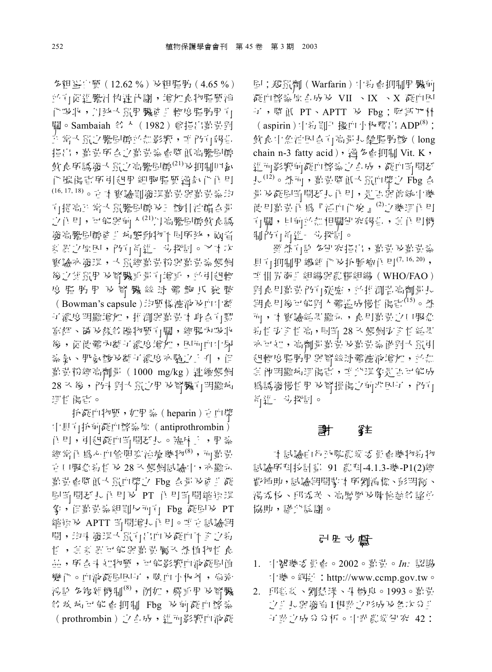多粗蛋白質(12.62%)及粗脂肪(4.65%) 而有促進膽汁 使速代謝, 增加食物脂質消 化吸收, 以致大鼠用臟贫 生輕度脂肪用 让 關。Sambaiah 貧 人 (1982) 曾指出葡萄對 五 常大鼠之膽固醇並無影響, 咱 仍有報告 指用, 葛昔所么之暮昔蒸香降低高騰固醇 飲 意所 誘 識 玉 鼠 字 高 膽 間 睡 <sup>(21)</sup> は 扣 制 回 転 に 化碳傷害所引起用細胞脂質過氧化作用 (16, 17, 18) 。 市本 暂驗則 鞍 現 勸 責 頭 勸 責 弘 均 有提高证券的销售的价格 ,'ノ |体目| , 可能與前 k<sup>(21)</sup>} [高膽髙|醇飲食誘 義高騰固醇商 非病態動物不同所致, 兩習 新星之原因, 所有精准。 步探討。 又本次 督驗亦發現, 大鼠經嘗貴粉與嘗貴素餵飼 後之補鼠用 及腎臟重量 计增重, 並引起輕 度 脂 肪 用 及 腎 臟 絲 球 體 鮑 氏 囊 腔 (Bowman's capsule)均質樣瀘液及血中離 了"濃度明顯增加, 推測與勸責本 身合有豐 富鉀、磷 皮 鎮 给 礦 物 質 有 關 , 經 腸 內 吸 收 後, 促使體內離子濃度增加, 因而血中尿 梨 刻、肌氨酸及離子"濃度亦隨之上升,但 菖 責 粉 溶 高 劑 量 (1000 mg/kg) 連 續 熊 飼 28 入 後, 仍未對大 鼠之用 及腎臟有明顯病 理性 傷害。

抗凝血物質,如用素(heparin) 由血漿 中貝百抗前凝血酵素原 (antiprothrombin) 作用,引起凝血畸間延長。臨床上,用素 經常作為心血管阳寒治療藥物<sup>(8)</sup>, 而看貴 由口服急莉性 及 28 认 餵飼試驗中, 亦顯示 勤責會降低大鼠血漿之 Fbg 合量及商生凝 固固間延長作用及 PT 作用固固縮短現 家, 但菖黄素組則反而可 Fbg 凝固及 PT 縮短及 APTT 畸間增長作用。 唯直試驗期 間,均需 發現大鼠有出血及凝血不全之素 性,其言是可能與勸韻屬天然植物性食 品,所含汞知物質,可能影響血液凝固值 變化。血液凝固因可, 除血小板外, 尚幹 冯韵 多複雜機制<sup>(8)</sup>, 例如, 嚴重用 及腎臟 等疾病可能會抑制 Fbg 及前凝血酵素 (prothrombin) 之吾成, 進而影響血液凝

固;殺鼠劑(Warfarin)中剥會抑制用臟前 凝血酵素原合成及 VII 、IX 、X 凝血因 子, 降低 PT、APTT 及 Fbg; 阿斯匹林  $(a$ spirin) 中素則千 櫋而 小板釋出 ADP<sup>(8)</sup>; 飲食中魚油因杏白高量長鏈脂肪酸(long chain n-3 fatty acid), 渦多動抑制 Vit. K, 谁而影響前凝血酵素:7 吾成, 凝血時間延  $\mathfrak{f}_{\mathsf{v}}^{(12)}$ 。然而, 勸韻降低大鼠血漿心 Fbg 含 量 及凝固匿間延扎 作 目, 是 下 距 唐 統 中 藥 使用菖黄作爲『活血化瘀』<sup>(2)</sup>之藥理作用 有關, 目前並無相關研究報告, 并作用機 制防有道一步探討。

翩 然 行語 多研究 指出,, 指 访 计 计 计 计 貝丁 扣制用 纖額 化 b 抗 腫 瘤 作 目 $(7, 16, 20)$ , 車 世界 衛才 組織 脚 農 輝 組織 (WHO/FAO) 對食用勸責仍有疑慮, 並推測苦高劑量長 期食用後可能對 人體造成慢性傷害 $^{(15)}$ 。然 而, 本實驗結果顯示, 食用勸貴之口服魚 **表** 性子, 同时 28 天 餵飼 步子 性 結果 亦可知, 高劑量勸責及勸責素僅對大鼠引 起輕度脂肪肝與腎絲球體濾液增加,並無 ㄤ陪痜瞶端甡斑 瞷禜琌 為誘發慢性用 及腎損傷之前兆因可, 仍有 高進 – 步探討。

### 计 辞

1 試驗由行政院農業委員會樂物對物 試驗所科技計劃 91 農科-4.1.3-樂-P1(2)經 費補助,試驗期間導本所劉清標、彭明霞、 渴系枝、邱系英、高鳳凰及陳怡熱貧諸苗 協助,講此誌謝。

### 引用立儲

- 1. 中醫藥委員會。2002。劃貴。In: 認識 <sup>[[臻。</sup>網址: http://www.ccmp.gov.tw。
- 2. 邱哲真、劉慧璜、朱戩良。1993。勸貴 之非長 與 義首 I 根 塾 之 形 成 及 各 次 分 非 子葬之成分分析。中華農業研究 42: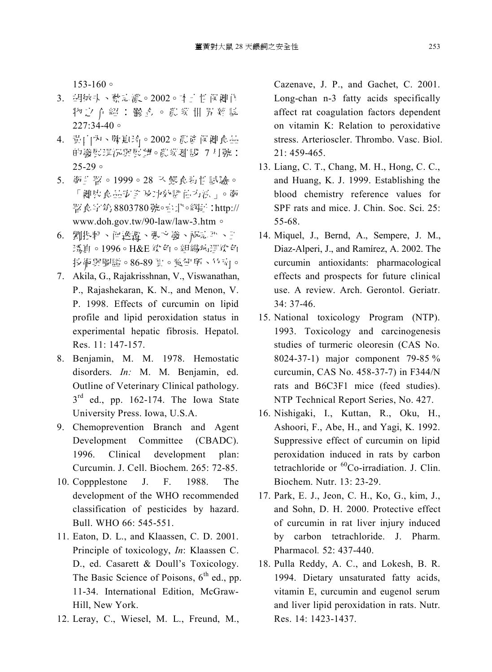$153 - 160$ 

- 3. 胡師太、蔡弘濃。2002。4 寸性保健作 物之 介紹:鬱系。農業 世界雜誌  $227:34-40$
- 4. 貴山內、陳惠玲。2002。農資保健食品 的義展現況與展望。農業劃設 7 月號:  $25-29$
- 5. 衛车署。1999。28 队餵食新性試驗。 「健康意品勃入し力効勢乱力活」。衛 竝 材 8803780 呼http:// www.doh.gov.tw/90-law/law-3.htm
- 6. 劉振軒、问逸遷、張立義、祝孟平、王 预直。1996。H&E 染直。組織病理染色 投術與圖譜。86-89 頁。濱研所、竹南。
- 7. Akila, G., Rajakrisshnan, V., Viswanathan, P., Rajashekaran, K. N., and Menon, V. P. 1998. Effects of curcumin on lipid profile and lipid peroxidation status in experimental hepatic fibrosis. Hepatol. Res. 11: 147-157.
- 8. Benjamin, M. M. 1978. Hemostatic disorders. *In:* M. M. Benjamin, ed. Outline of Veterinary Clinical pathology.  $3<sup>rd</sup>$  ed., pp. 162-174. The Iowa State University Press. Iowa, U.S.A.
- 9. Chemoprevention Branch and Agent Development Committee (CBADC). 1996. Clinical development plan: Curcumin. J. Cell. Biochem. 265: 72-85.
- 10. Coppplestone J. F. 1988. The development of the WHO recommended classification of pesticides by hazard. Bull. WHO 66: 545-551.
- 11. Eaton, D. L., and Klaassen, C. D. 2001. Principle of toxicology, *In*: Klaassen C. D., ed. Casarett & Doull's Toxicology. The Basic Science of Poisons,  $6<sup>th</sup>$  ed., pp. 11-34. International Edition, McGraw-Hill, New York.
- 12. Leray, C., Wiesel, M. L., Freund, M.,

Cazenave, J. P., and Gachet, C. 2001. Long-chan n-3 fatty acids specifically affect rat coagulation factors dependent on vitamin K: Relation to peroxidative stress. Arterioscler. Thrombo. Vasc. Biol.  $21 \cdot 459 - 465$ 

- 13. Liang, C. T., Chang, M. H., Hong, C. C., and Huang, K. J. 1999. Establishing the blood chemistry reference values for SPF rats and mice. J. Chin. Soc. Sci. 25: 55-68.
- 14. Miquel, J., Bernd, A., Sempere, J. M., Diaz-Alperi, J., and Ramírez, A. 2002. The curcumin antioxidants: pharmacological effects and prospects for future clinical use. A review. Arch. Gerontol. Geriatr*.* 34: 37-46.
- 15. National toxicology Program (NTP). 1993. Toxicology and carcinogenesis studies of turmeric oleoresin (CAS No. 8024-37-1) major component 79-85 % curcumin, CAS No. 458-37-7) in F344/N rats and B6C3F1 mice (feed studies). NTP Technical Report Series, No. 427.
- 16. Nishigaki, I., Kuttan, R., Oku, H., Ashoori, F., Abe, H., and Yagi, K. 1992. Suppressive effect of curcumin on lipid peroxidation induced in rats by carbon tetrachloride or <sup>60</sup>Co-irradiation. J. Clin. Biochem. Nutr. 13: 23-29.
- 17. Park, E. J., Jeon, C. H., Ko, G., kim, J., and Sohn, D. H. 2000. Protective effect of curcumin in rat liver injury induced by carbon tetrachloride. J. Pharm. Pharmacol*.* 52: 437-440.
- 18. Pulla Reddy, A. C., and Lokesh, B. R. 1994. Dietary unsaturated fatty acids, vitamin E, curcumin and eugenol serum and liver lipid peroxidation in rats. Nutr. Res. 14: 1423-1437.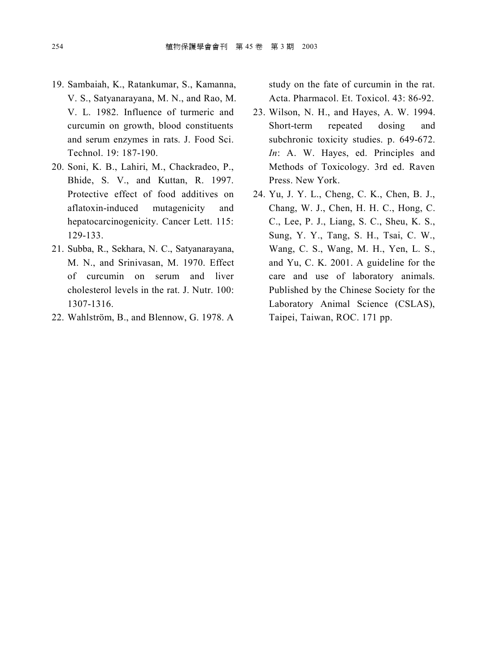- 19. Sambaiah, K., Ratankumar, S., Kamanna, V. S., Satyanarayana, M. N., and Rao, M. V. L. 1982. Influence of turmeric and curcumin on growth, blood constituents and serum enzymes in rats. J. Food Sci. Technol. 19: 187-190.
- 20. Soni, K. B., Lahiri, M., Chackradeo, P., Bhide, S. V., and Kuttan, R. 1997. Protective effect of food additives on aflatoxin-induced mutagenicity and hepatocarcinogenicity. Cancer Lett. 115: 129-133.
- 21. Subba, R., Sekhara, N. C., Satyanarayana, M. N., and Srinivasan, M. 1970. Effect of curcumin on serum and liver cholesterol levels in the rat. J. Nutr. 100: 1307-1316.
- 22. Wahlström, B., and Blennow, G. 1978. A

study on the fate of curcumin in the rat. Acta. Pharmacol. Et. Toxicol. 43: 86-92.

- 23. Wilson, N. H., and Hayes, A. W. 1994. Short-term repeated dosing and subchronic toxicity studies. p. 649-672. *In*: A. W. Hayes, ed. Principles and Methods of Toxicology. 3rd ed. Raven Press. New York.
- 24. Yu, J. Y. L., Cheng, C. K., Chen, B. J., Chang, W. J., Chen, H. H. C., Hong, C. C., Lee, P. J., Liang, S. C., Sheu, K. S., Sung, Y. Y., Tang, S. H., Tsai, C. W., Wang, C. S., Wang, M. H., Yen, L. S., and Yu, C. K. 2001. A guideline for the care and use of laboratory animals. Published by the Chinese Society for the Laboratory Animal Science (CSLAS), Taipei, Taiwan, ROC. 171 pp.